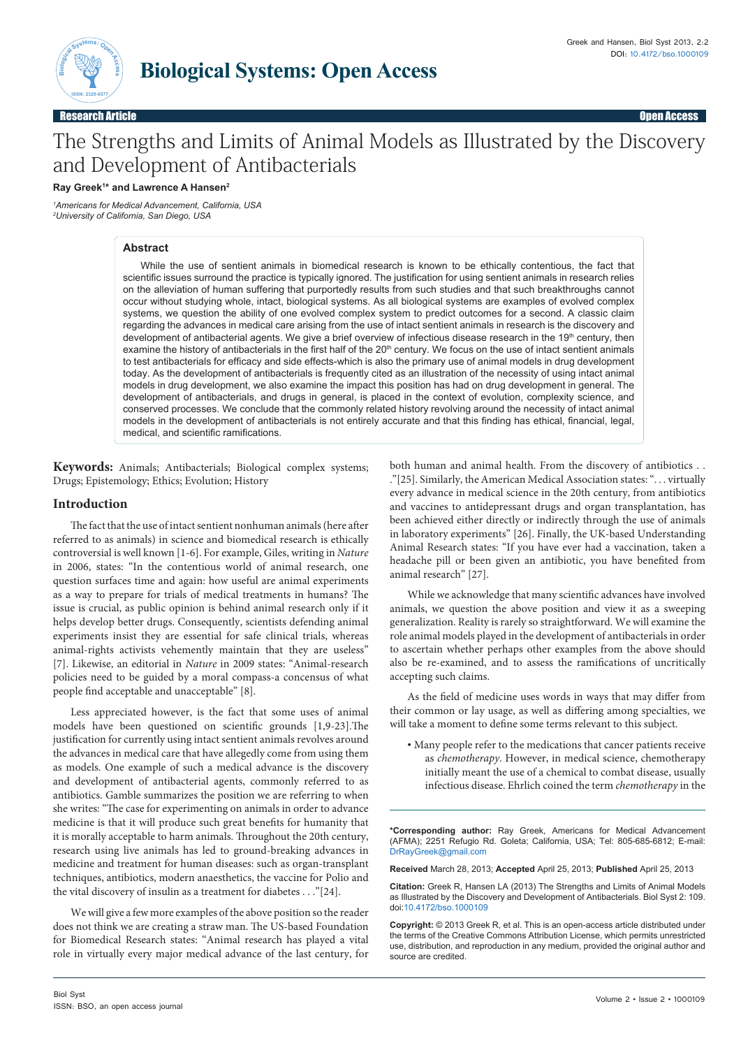

Greek and Hansen, Biol Syst 2013, 2:2 DOI: 10.4172/bso.1000109

Research Article Open Access

# The Strengths and Limits of Animal Models as Illustrated by the Discovery and Development of Antibacterials

# **Ray Greek1 \* and Lawrence A Hansen2**

*1 Americans for Medical Advancement, California, USA 2 University of California, San Diego, USA*

# **Abstract**

While the use of sentient animals in biomedical research is known to be ethically contentious, the fact that scientific issues surround the practice is typically ignored. The justification for using sentient animals in research relies on the alleviation of human suffering that purportedly results from such studies and that such breakthroughs cannot occur without studying whole, intact, biological systems. As all biological systems are examples of evolved complex systems, we question the ability of one evolved complex system to predict outcomes for a second. A classic claim regarding the advances in medical care arising from the use of intact sentient animals in research is the discovery and development of antibacterial agents. We give a brief overview of infectious disease research in the 19<sup>th</sup> century, then examine the history of antibacterials in the first half of the 20<sup>th</sup> century. We focus on the use of intact sentient animals to test antibacterials for efficacy and side effects-which is also the primary use of animal models in drug development today. As the development of antibacterials is frequently cited as an illustration of the necessity of using intact animal models in drug development, we also examine the impact this position has had on drug development in general. The development of antibacterials, and drugs in general, is placed in the context of evolution, complexity science, and conserved processes. We conclude that the commonly related history revolving around the necessity of intact animal models in the development of antibacterials is not entirely accurate and that this finding has ethical, financial, legal, medical, and scientific ramifications.

**Keywords:** Animals; Antibacterials; Biological complex systems; Drugs; Epistemology; Ethics; Evolution; History

# **Introduction**

The fact that the use of intact sentient nonhuman animals (here after referred to as animals) in science and biomedical research is ethically controversial is well known [1-6]. For example, Giles, writing in *Nature*  in 2006, states: "In the contentious world of animal research, one question surfaces time and again: how useful are animal experiments as a way to prepare for trials of medical treatments in humans? The issue is crucial, as public opinion is behind animal research only if it helps develop better drugs. Consequently, scientists defending animal experiments insist they are essential for safe clinical trials, whereas animal-rights activists vehemently maintain that they are useless" [7]. Likewise, an editorial in *Nature* in 2009 states: "Animal-research policies need to be guided by a moral compass-a concensus of what people find acceptable and unacceptable" [8].

Less appreciated however, is the fact that some uses of animal models have been questioned on scientific grounds [1,9-23].The justification for currently using intact sentient animals revolves around the advances in medical care that have allegedly come from using them as models. One example of such a medical advance is the discovery and development of antibacterial agents, commonly referred to as antibiotics. Gamble summarizes the position we are referring to when she writes: "The case for experimenting on animals in order to advance medicine is that it will produce such great benefits for humanity that it is morally acceptable to harm animals. Throughout the 20th century, research using live animals has led to ground-breaking advances in medicine and treatment for human diseases: such as organ-transplant techniques, antibiotics, modern anaesthetics, the vaccine for Polio and the vital discovery of insulin as a treatment for diabetes . . ."[24].

We will give a few more examples of the above position so the reader does not think we are creating a straw man. The US-based Foundation for Biomedical Research states: "Animal research has played a vital role in virtually every major medical advance of the last century, for both human and animal health. From the discovery of antibiotics . . ."[25]. Similarly, the American Medical Association states: ". . . virtually every advance in medical science in the 20th century, from antibiotics and vaccines to antidepressant drugs and organ transplantation, has been achieved either directly or indirectly through the use of animals in laboratory experiments" [26]. Finally, the UK-based Understanding Animal Research states: "If you have ever had a vaccination, taken a headache pill or been given an antibiotic, you have benefited from animal research" [27].

While we acknowledge that many scientific advances have involved animals, we question the above position and view it as a sweeping generalization. Reality is rarely so straightforward. We will examine the role animal models played in the development of antibacterials in order to ascertain whether perhaps other examples from the above should also be re-examined, and to assess the ramifications of uncritically accepting such claims.

As the field of medicine uses words in ways that may differ from their common or lay usage, as well as differing among specialties, we will take a moment to define some terms relevant to this subject.

• Many people refer to the medications that cancer patients receive as *chemotherapy*. However, in medical science, chemotherapy initially meant the use of a chemical to combat disease, usually infectious disease. Ehrlich coined the term *chemotherapy* in the

**\*Corresponding author:** Ray Greek, Americans for Medical Advancement (AFMA); 2251 Refugio Rd. Goleta; California, USA; Tel: 805-685-6812; E-mail: DrRayGreek@gmail.com

**Received** March 28, 2013; **Accepted** April 25, 2013; **Published** April 25, 2013

**Citation:** Greek R, Hansen LA (2013) The Strengths and Limits of Animal Models as Illustrated by the Discovery and Development of Antibacterials. Biol Syst 2: 109. doi:10.4172/bso.1000109

**Copyright:** © 2013 Greek R, et al. This is an open-access article distributed under the terms of the Creative Commons Attribution License, which permits unrestricted use, distribution, and reproduction in any medium, provided the original author and source are credited.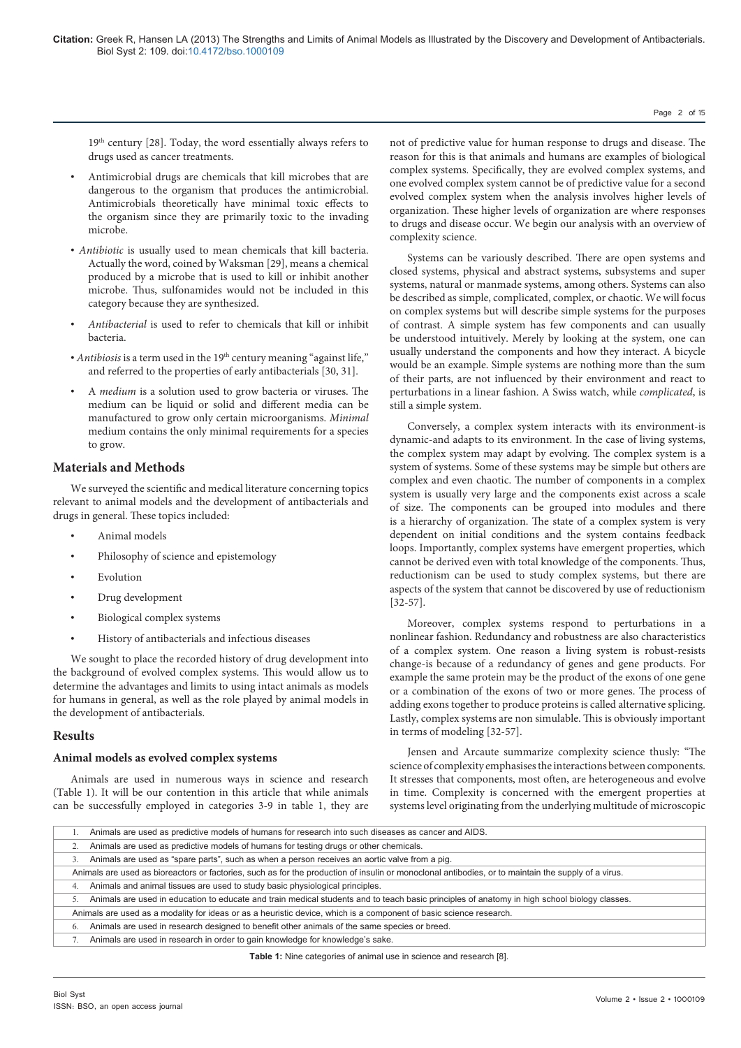19th century [28]. Today, the word essentially always refers to drugs used as cancer treatments.

- Antimicrobial drugs are chemicals that kill microbes that are dangerous to the organism that produces the antimicrobial. Antimicrobials theoretically have minimal toxic effects to the organism since they are primarily toxic to the invading microbe.
- *Antibiotic* is usually used to mean chemicals that kill bacteria. Actually the word, coined by Waksman [29], means a chemical produced by a microbe that is used to kill or inhibit another microbe. Thus, sulfonamides would not be included in this category because they are synthesized.
- *Antibacterial* is used to refer to chemicals that kill or inhibit bacteria.
- *Antibiosis* is a term used in the 19<sup>th</sup> century meaning "against life," and referred to the properties of early antibacterials [30, 31].
- A *medium* is a solution used to grow bacteria or viruses. The medium can be liquid or solid and different media can be manufactured to grow only certain microorganisms. *Minimal* medium contains the only minimal requirements for a species to grow.

# **Materials and Methods**

We surveyed the scientific and medical literature concerning topics relevant to animal models and the development of antibacterials and drugs in general. These topics included:

- Animal models
- Philosophy of science and epistemology
- **Evolution**
- Drug development
- Biological complex systems
- History of antibacterials and infectious diseases

We sought to place the recorded history of drug development into the background of evolved complex systems. This would allow us to determine the advantages and limits to using intact animals as models for humans in general, as well as the role played by animal models in the development of antibacterials.

# **Results**

# **Animal models as evolved complex systems**

Animals are used in numerous ways in science and research (Table 1). It will be our contention in this article that while animals can be successfully employed in categories 3-9 in table 1, they are

not of predictive value for human response to drugs and disease. The reason for this is that animals and humans are examples of biological complex systems. Specifically, they are evolved complex systems, and one evolved complex system cannot be of predictive value for a second evolved complex system when the analysis involves higher levels of organization. These higher levels of organization are where responses to drugs and disease occur. We begin our analysis with an overview of complexity science.

Page 2 of 15

Systems can be variously described. There are open systems and closed systems, physical and abstract systems, subsystems and super systems, natural or manmade systems, among others. Systems can also be described as simple, complicated, complex, or chaotic. We will focus on complex systems but will describe simple systems for the purposes of contrast. A simple system has few components and can usually be understood intuitively. Merely by looking at the system, one can usually understand the components and how they interact. A bicycle would be an example. Simple systems are nothing more than the sum of their parts, are not influenced by their environment and react to perturbations in a linear fashion. A Swiss watch, while *complicated*, is still a simple system.

Conversely, a complex system interacts with its environment-is dynamic-and adapts to its environment. In the case of living systems, the complex system may adapt by evolving. The complex system is a system of systems. Some of these systems may be simple but others are complex and even chaotic. The number of components in a complex system is usually very large and the components exist across a scale of size. The components can be grouped into modules and there is a hierarchy of organization. The state of a complex system is very dependent on initial conditions and the system contains feedback loops. Importantly, complex systems have emergent properties, which cannot be derived even with total knowledge of the components. Thus, reductionism can be used to study complex systems, but there are aspects of the system that cannot be discovered by use of reductionism [32-57].

Moreover, complex systems respond to perturbations in a nonlinear fashion. Redundancy and robustness are also characteristics of a complex system. One reason a living system is robust-resists change-is because of a redundancy of genes and gene products. For example the same protein may be the product of the exons of one gene or a combination of the exons of two or more genes. The process of adding exons together to produce proteins is called alternative splicing. Lastly, complex systems are non simulable. This is obviously important in terms of modeling [32-57].

Jensen and Arcaute summarize complexity science thusly: "The science of complexity emphasises the interactions between components. It stresses that components, most often, are heterogeneous and evolve in time. Complexity is concerned with the emergent properties at systems level originating from the underlying multitude of microscopic

|                                                                                                                                                     | Animals are used as predictive models of humans for research into such diseases as cancer and AIDS.                                          |  |  |  |
|-----------------------------------------------------------------------------------------------------------------------------------------------------|----------------------------------------------------------------------------------------------------------------------------------------------|--|--|--|
|                                                                                                                                                     | Animals are used as predictive models of humans for testing drugs or other chemicals.                                                        |  |  |  |
|                                                                                                                                                     | Animals are used as "spare parts", such as when a person receives an aortic valve from a pig.                                                |  |  |  |
| Animals are used as bioreactors or factories, such as for the production of insulin or monoclonal antibodies, or to maintain the supply of a virus. |                                                                                                                                              |  |  |  |
| 4.                                                                                                                                                  | Animals and animal tissues are used to study basic physiological principles.                                                                 |  |  |  |
|                                                                                                                                                     | Animals are used in education to educate and train medical students and to teach basic principles of anatomy in high school biology classes. |  |  |  |
| Animals are used as a modality for ideas or as a heuristic device, which is a component of basic science research.                                  |                                                                                                                                              |  |  |  |
| 6.                                                                                                                                                  | Animals are used in research designed to benefit other animals of the same species or breed.                                                 |  |  |  |
|                                                                                                                                                     | Animals are used in research in order to gain knowledge for knowledge's sake.                                                                |  |  |  |
|                                                                                                                                                     |                                                                                                                                              |  |  |  |

**Table 1:** Nine categories of animal use in science and research [8].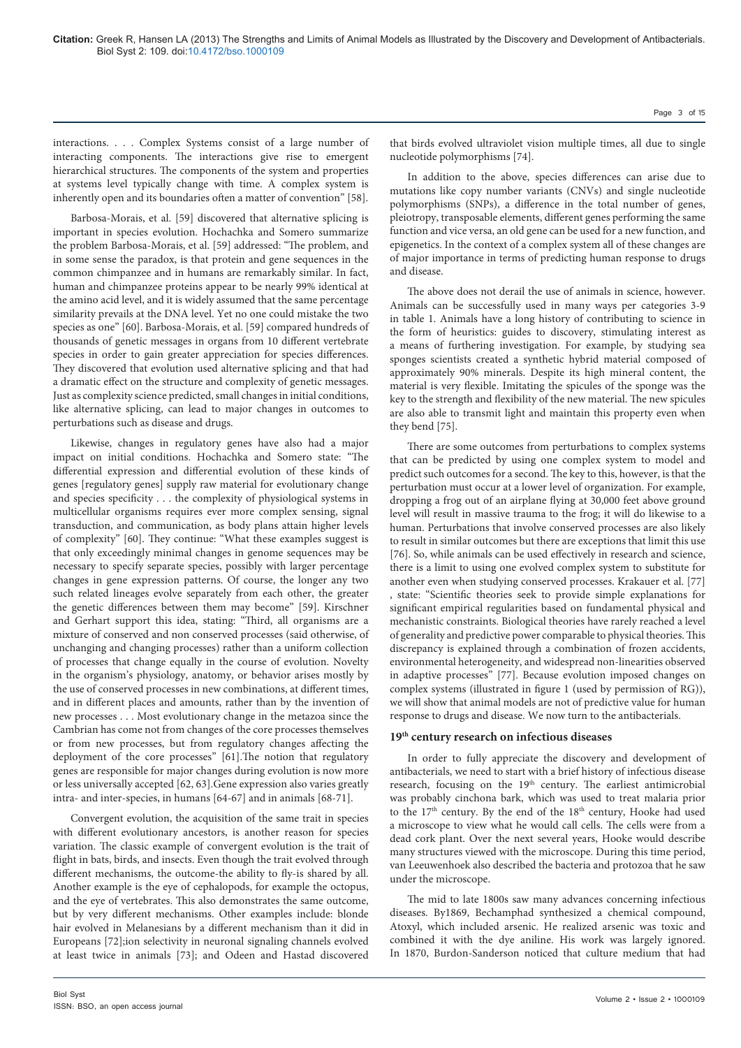interactions. . . . Complex Systems consist of a large number of interacting components. The interactions give rise to emergent hierarchical structures. The components of the system and properties at systems level typically change with time. A complex system is inherently open and its boundaries often a matter of convention" [58].

Barbosa-Morais, et al. [59] discovered that alternative splicing is important in species evolution. Hochachka and Somero summarize the problem Barbosa-Morais, et al. [59] addressed: "The problem, and in some sense the paradox, is that protein and gene sequences in the common chimpanzee and in humans are remarkably similar. In fact, human and chimpanzee proteins appear to be nearly 99% identical at the amino acid level, and it is widely assumed that the same percentage similarity prevails at the DNA level. Yet no one could mistake the two species as one" [60]. Barbosa-Morais, et al. [59] compared hundreds of thousands of genetic messages in organs from 10 different vertebrate species in order to gain greater appreciation for species differences. They discovered that evolution used alternative splicing and that had a dramatic effect on the structure and complexity of genetic messages. Just as complexity science predicted, small changes in initial conditions, like alternative splicing, can lead to major changes in outcomes to perturbations such as disease and drugs.

Likewise, changes in regulatory genes have also had a major impact on initial conditions. Hochachka and Somero state: "The differential expression and differential evolution of these kinds of genes [regulatory genes] supply raw material for evolutionary change and species specificity . . . the complexity of physiological systems in multicellular organisms requires ever more complex sensing, signal transduction, and communication, as body plans attain higher levels of complexity" [60]. They continue: "What these examples suggest is that only exceedingly minimal changes in genome sequences may be necessary to specify separate species, possibly with larger percentage changes in gene expression patterns. Of course, the longer any two such related lineages evolve separately from each other, the greater the genetic differences between them may become" [59]. Kirschner and Gerhart support this idea, stating: "Third, all organisms are a mixture of conserved and non conserved processes (said otherwise, of unchanging and changing processes) rather than a uniform collection of processes that change equally in the course of evolution. Novelty in the organism's physiology, anatomy, or behavior arises mostly by the use of conserved processes in new combinations, at different times, and in different places and amounts, rather than by the invention of new processes . . . Most evolutionary change in the metazoa since the Cambrian has come not from changes of the core processes themselves or from new processes, but from regulatory changes affecting the deployment of the core processes" [61].The notion that regulatory genes are responsible for major changes during evolution is now more or less universally accepted [62, 63].Gene expression also varies greatly intra- and inter-species, in humans [64-67] and in animals [68-71].

Convergent evolution, the acquisition of the same trait in species with different evolutionary ancestors, is another reason for species variation. The classic example of convergent evolution is the trait of flight in bats, birds, and insects. Even though the trait evolved through different mechanisms, the outcome-the ability to fly-is shared by all. Another example is the eye of cephalopods, for example the octopus, and the eye of vertebrates. This also demonstrates the same outcome, but by very different mechanisms. Other examples include: blonde hair evolved in Melanesians by a different mechanism than it did in Europeans [72];ion selectivity in neuronal signaling channels evolved at least twice in animals [73]; and Odeen and Hastad discovered

that birds evolved ultraviolet vision multiple times, all due to single nucleotide polymorphisms [74].

In addition to the above, species differences can arise due to mutations like copy number variants (CNVs) and single nucleotide polymorphisms (SNPs), a difference in the total number of genes, pleiotropy, transposable elements, different genes performing the same function and vice versa, an old gene can be used for a new function, and epigenetics. In the context of a complex system all of these changes are of major importance in terms of predicting human response to drugs and disease.

The above does not derail the use of animals in science, however. Animals can be successfully used in many ways per categories 3-9 in table 1. Animals have a long history of contributing to science in the form of heuristics: guides to discovery, stimulating interest as a means of furthering investigation. For example, by studying sea sponges scientists created a synthetic hybrid material composed of approximately 90% minerals. Despite its high mineral content, the material is very flexible. Imitating the spicules of the sponge was the key to the strength and flexibility of the new material. The new spicules are also able to transmit light and maintain this property even when they bend [75].

There are some outcomes from perturbations to complex systems that can be predicted by using one complex system to model and predict such outcomes for a second. The key to this, however, is that the perturbation must occur at a lower level of organization. For example, dropping a frog out of an airplane flying at 30,000 feet above ground level will result in massive trauma to the frog; it will do likewise to a human. Perturbations that involve conserved processes are also likely to result in similar outcomes but there are exceptions that limit this use [76]. So, while animals can be used effectively in research and science, there is a limit to using one evolved complex system to substitute for another even when studying conserved processes. Krakauer et al. [77] , state: "Scientific theories seek to provide simple explanations for significant empirical regularities based on fundamental physical and mechanistic constraints. Biological theories have rarely reached a level of generality and predictive power comparable to physical theories. This discrepancy is explained through a combination of frozen accidents, environmental heterogeneity, and widespread non-linearities observed in adaptive processes" [77]. Because evolution imposed changes on complex systems (illustrated in figure 1 (used by permission of RG)), we will show that animal models are not of predictive value for human response to drugs and disease. We now turn to the antibacterials.

# **19th century research on infectious diseases**

In order to fully appreciate the discovery and development of antibacterials, we need to start with a brief history of infectious disease research, focusing on the 19<sup>th</sup> century. The earliest antimicrobial was probably cinchona bark, which was used to treat malaria prior to the 17<sup>th</sup> century. By the end of the 18<sup>th</sup> century, Hooke had used a microscope to view what he would call cells. The cells were from a dead cork plant. Over the next several years, Hooke would describe many structures viewed with the microscope. During this time period, van Leeuwenhoek also described the bacteria and protozoa that he saw under the microscope.

The mid to late 1800s saw many advances concerning infectious diseases. By1869, Bechamphad synthesized a chemical compound, Atoxyl, which included arsenic. He realized arsenic was toxic and combined it with the dye aniline. His work was largely ignored. In 1870, Burdon-Sanderson noticed that culture medium that had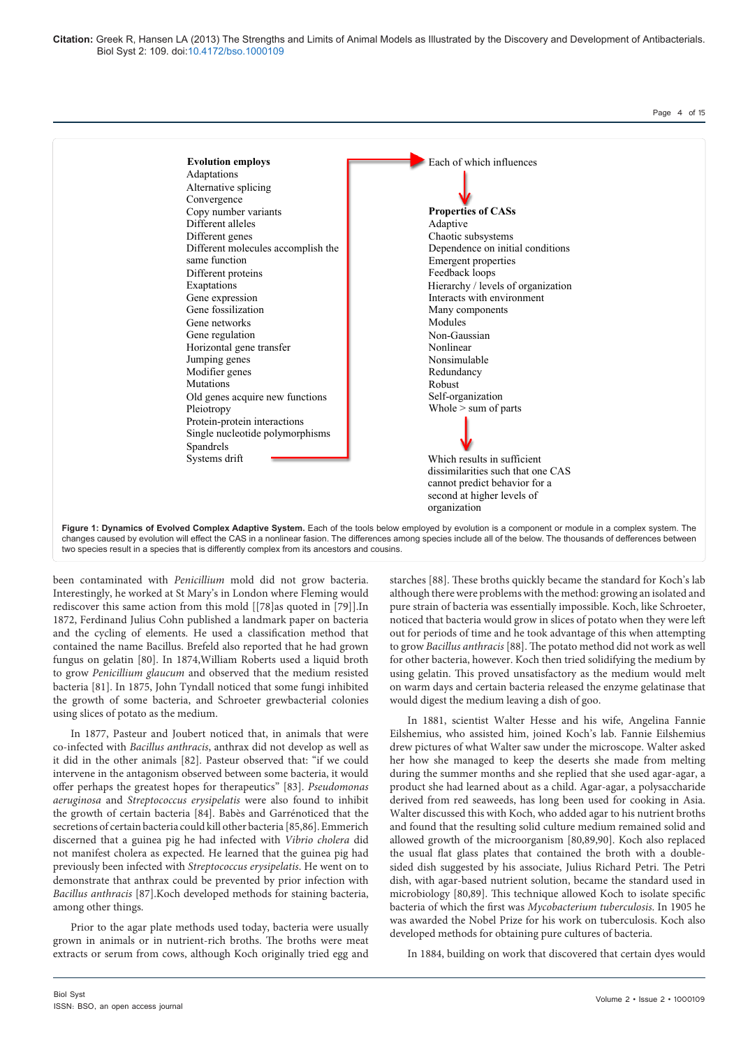**Citation:** Greek R, Hansen LA (2013) The Strengths and Limits of Animal Models as Illustrated by the Discovery and Development of Antibacterials. Biol Syst 2: 109. doi:10.4172/bso.1000109



changes caused by evolution will effect the CAS in a nonlinear fasion. The differences among species include all of the below. The thousands of defferences between two species result in a species that is differently complex from its ancestors and cousins.

been contaminated with *Penicillium* mold did not grow bacteria. Interestingly, he worked at St Mary's in London where Fleming would rediscover this same action from this mold [[78]as quoted in [79]].In 1872, Ferdinand Julius Cohn published a landmark paper on bacteria and the cycling of elements. He used a classification method that contained the name Bacillus. Brefeld also reported that he had grown fungus on gelatin [80]. In 1874,William Roberts used a liquid broth to grow *Penicillium glaucum* and observed that the medium resisted bacteria [81]. In 1875, John Tyndall noticed that some fungi inhibited the growth of some bacteria, and Schroeter grewbacterial colonies using slices of potato as the medium.

In 1877, Pasteur and Joubert noticed that, in animals that were co-infected with *Bacillus anthracis*, anthrax did not develop as well as it did in the other animals [82]. Pasteur observed that: "if we could intervene in the antagonism observed between some bacteria, it would offer perhaps the greatest hopes for therapeutics" [83]. *Pseudomonas aeruginosa* and *Streptococcus erysipelatis* were also found to inhibit the growth of certain bacteria [84]. Babès and Garrénoticed that the secretions of certain bacteria could kill other bacteria [85,86]. Emmerich discerned that a guinea pig he had infected with *Vibrio cholera* did not manifest cholera as expected. He learned that the guinea pig had previously been infected with *Streptococcus erysipelatis*. He went on to demonstrate that anthrax could be prevented by prior infection with *Bacillus anthracis* [87].Koch developed methods for staining bacteria, among other things.

Prior to the agar plate methods used today, bacteria were usually grown in animals or in nutrient-rich broths. The broths were meat extracts or serum from cows, although Koch originally tried egg and

starches [88]. These broths quickly became the standard for Koch's lab although there were problems with the method: growing an isolated and pure strain of bacteria was essentially impossible. Koch, like Schroeter, noticed that bacteria would grow in slices of potato when they were left out for periods of time and he took advantage of this when attempting to grow *Bacillus anthracis* [88]. The potato method did not work as well for other bacteria, however. Koch then tried solidifying the medium by using gelatin. This proved unsatisfactory as the medium would melt on warm days and certain bacteria released the enzyme gelatinase that would digest the medium leaving a dish of goo.

In 1881, scientist Walter Hesse and his wife, Angelina Fannie Eilshemius, who assisted him, joined Koch's lab. Fannie Eilshemius drew pictures of what Walter saw under the microscope. Walter asked her how she managed to keep the deserts she made from melting during the summer months and she replied that she used agar-agar, a product she had learned about as a child. Agar-agar, a polysaccharide derived from red seaweeds, has long been used for cooking in Asia. Walter discussed this with Koch, who added agar to his nutrient broths and found that the resulting solid culture medium remained solid and allowed growth of the microorganism [80,89,90]. Koch also replaced the usual flat glass plates that contained the broth with a doublesided dish suggested by his associate, Julius Richard Petri. The Petri dish, with agar-based nutrient solution, became the standard used in microbiology [80,89]. This technique allowed Koch to isolate specific bacteria of which the first was *Mycobacterium tuberculosis*. In 1905 he was awarded the Nobel Prize for his work on tuberculosis. Koch also developed methods for obtaining pure cultures of bacteria.

In 1884, building on work that discovered that certain dyes would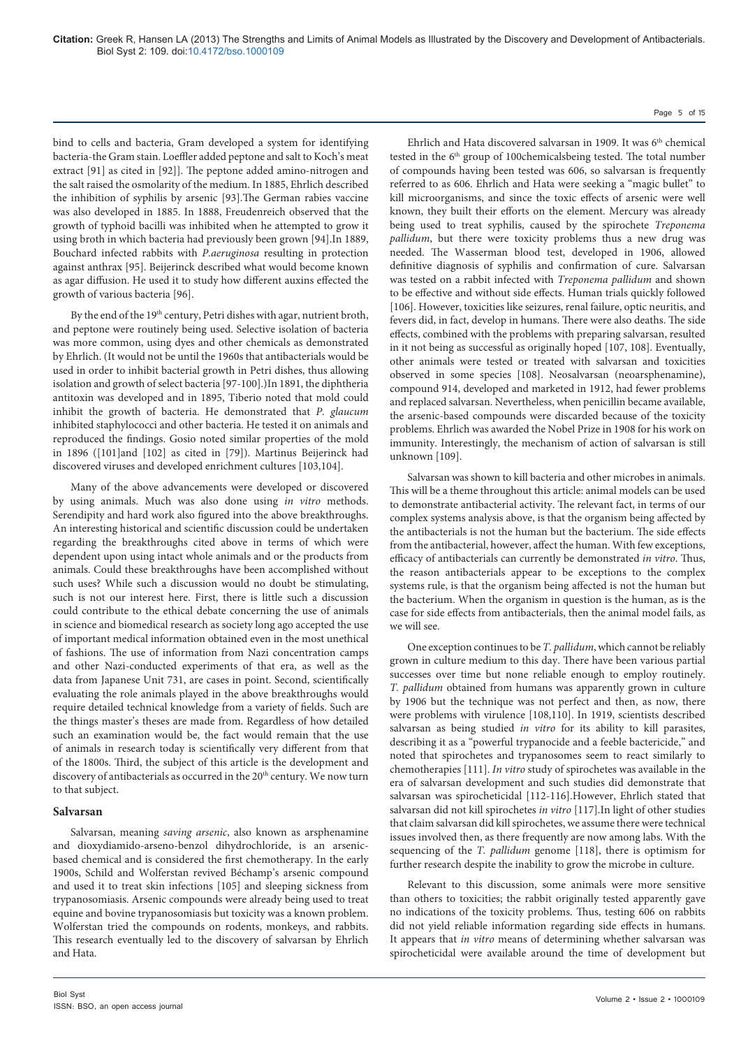bind to cells and bacteria, Gram developed a system for identifying bacteria-the Gram stain. Loeffler added peptone and salt to Koch's meat extract [91] as cited in [92]]. The peptone added amino-nitrogen and the salt raised the osmolarity of the medium. In 1885, Ehrlich described the inhibition of syphilis by arsenic [93].The German rabies vaccine was also developed in 1885. In 1888, Freudenreich observed that the growth of typhoid bacilli was inhibited when he attempted to grow it using broth in which bacteria had previously been grown [94].In 1889, Bouchard infected rabbits with *P.aeruginosa* resulting in protection against anthrax [95]. Beijerinck described what would become known as agar diffusion. He used it to study how different auxins effected the growth of various bacteria [96].

By the end of the 19<sup>th</sup> century, Petri dishes with agar, nutrient broth, and peptone were routinely being used. Selective isolation of bacteria was more common, using dyes and other chemicals as demonstrated by Ehrlich. (It would not be until the 1960s that antibacterials would be used in order to inhibit bacterial growth in Petri dishes, thus allowing isolation and growth of select bacteria [97-100].)In 1891, the diphtheria antitoxin was developed and in 1895, Tiberio noted that mold could inhibit the growth of bacteria. He demonstrated that *P. glaucum* inhibited staphylococci and other bacteria. He tested it on animals and reproduced the findings. Gosio noted similar properties of the mold in 1896 ([101]and [102] as cited in [79]). Martinus Beijerinck had discovered viruses and developed enrichment cultures [103,104].

Many of the above advancements were developed or discovered by using animals. Much was also done using *in vitro* methods. Serendipity and hard work also figured into the above breakthroughs. An interesting historical and scientific discussion could be undertaken regarding the breakthroughs cited above in terms of which were dependent upon using intact whole animals and or the products from animals. Could these breakthroughs have been accomplished without such uses? While such a discussion would no doubt be stimulating, such is not our interest here. First, there is little such a discussion could contribute to the ethical debate concerning the use of animals in science and biomedical research as society long ago accepted the use of important medical information obtained even in the most unethical of fashions. The use of information from Nazi concentration camps and other Nazi-conducted experiments of that era, as well as the data from Japanese Unit 731, are cases in point. Second, scientifically evaluating the role animals played in the above breakthroughs would require detailed technical knowledge from a variety of fields. Such are the things master's theses are made from. Regardless of how detailed such an examination would be, the fact would remain that the use of animals in research today is scientifically very different from that of the 1800s. Third, the subject of this article is the development and discovery of antibacterials as occurred in the 20<sup>th</sup> century. We now turn to that subject.

# **Salvarsan**

Salvarsan, meaning *saving arsenic*, also known as arsphenamine and dioxydiamido-arseno-benzol dihydrochloride, is an arsenicbased chemical and is considered the first chemotherapy. In the early 1900s, Schild and Wolferstan revived Béchamp's arsenic compound and used it to treat skin infections [105] and sleeping sickness from trypanosomiasis. Arsenic compounds were already being used to treat equine and bovine trypanosomiasis but toxicity was a known problem. Wolferstan tried the compounds on rodents, monkeys, and rabbits. This research eventually led to the discovery of salvarsan by Ehrlich and Hata.

Ehrlich and Hata discovered salvarsan in 1909. It was 6<sup>th</sup> chemical tested in the 6<sup>th</sup> group of 100chemicalsbeing tested. The total number of compounds having been tested was 606, so salvarsan is frequently referred to as 606. Ehrlich and Hata were seeking a "magic bullet" to kill microorganisms, and since the toxic effects of arsenic were well known, they built their efforts on the element. Mercury was already being used to treat syphilis, caused by the spirochete *Treponema pallidum*, but there were toxicity problems thus a new drug was needed. The Wasserman blood test, developed in 1906, allowed definitive diagnosis of syphilis and confirmation of cure. Salvarsan was tested on a rabbit infected with *Treponema pallidum* and shown to be effective and without side effects. Human trials quickly followed [106]. However, toxicities like seizures, renal failure, optic neuritis, and fevers did, in fact, develop in humans. There were also deaths. The side effects, combined with the problems with preparing salvarsan, resulted in it not being as successful as originally hoped [107, 108]. Eventually, other animals were tested or treated with salvarsan and toxicities observed in some species [108]. Neosalvarsan (neoarsphenamine), compound 914, developed and marketed in 1912, had fewer problems and replaced salvarsan. Nevertheless, when penicillin became available, the arsenic-based compounds were discarded because of the toxicity problems. Ehrlich was awarded the Nobel Prize in 1908 for his work on immunity. Interestingly, the mechanism of action of salvarsan is still unknown [109].

Salvarsan was shown to kill bacteria and other microbes in animals. This will be a theme throughout this article: animal models can be used to demonstrate antibacterial activity. The relevant fact, in terms of our complex systems analysis above, is that the organism being affected by the antibacterials is not the human but the bacterium. The side effects from the antibacterial, however, affect the human. With few exceptions, efficacy of antibacterials can currently be demonstrated *in vitro*. Thus, the reason antibacterials appear to be exceptions to the complex systems rule, is that the organism being affected is not the human but the bacterium. When the organism in question is the human, as is the case for side effects from antibacterials, then the animal model fails, as we will see.

One exception continues to be *T. pallidum*, which cannot be reliably grown in culture medium to this day. There have been various partial successes over time but none reliable enough to employ routinely. *T. pallidum* obtained from humans was apparently grown in culture by 1906 but the technique was not perfect and then, as now, there were problems with virulence [108,110]. In 1919, scientists described salvarsan as being studied *in vitro* for its ability to kill parasites, describing it as a "powerful trypanocide and a feeble bactericide," and noted that spirochetes and trypanosomes seem to react similarly to chemotherapies [111]. *In vitro* study of spirochetes was available in the era of salvarsan development and such studies did demonstrate that salvarsan was spirocheticidal [112-116].However, Ehrlich stated that salvarsan did not kill spirochetes *in vitro* [117].In light of other studies that claim salvarsan did kill spirochetes, we assume there were technical issues involved then, as there frequently are now among labs. With the sequencing of the *T. pallidum* genome [118], there is optimism for further research despite the inability to grow the microbe in culture.

Relevant to this discussion, some animals were more sensitive than others to toxicities; the rabbit originally tested apparently gave no indications of the toxicity problems. Thus, testing 606 on rabbits did not yield reliable information regarding side effects in humans. It appears that *in vitro* means of determining whether salvarsan was spirocheticidal were available around the time of development but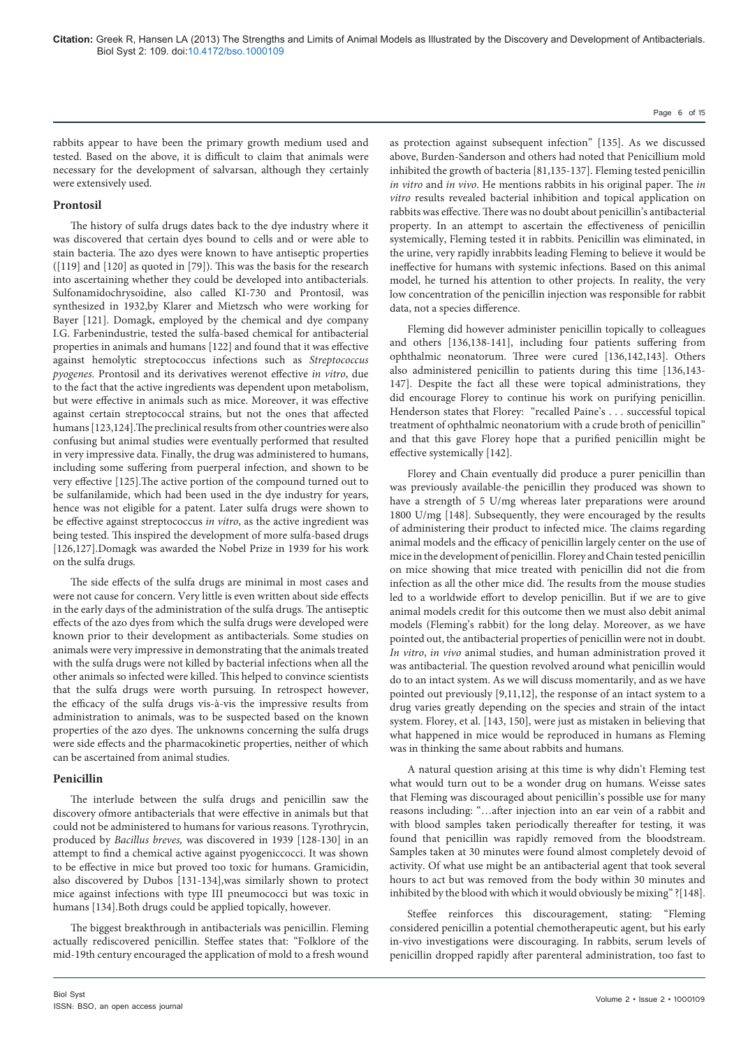rabbits appear to have been the primary growth medium used and tested. Based on the above, it is difficult to claim that animals were necessary for the development of salvarsan, although they certainly were extensively used.

# **Prontosil**

The history of sulfa drugs dates back to the dye industry where it was discovered that certain dyes bound to cells and or were able to stain bacteria. The azo dyes were known to have antiseptic properties ([119] and [120] as quoted in [79]). This was the basis for the research into ascertaining whether they could be developed into antibacterials. Sulfonamidochrysoidine, also called KI-730 and Prontosil, was synthesized in 1932,by Klarer and Mietzsch who were working for Bayer [121]. Domagk, employed by the chemical and dye company I.G. Farbenindustrie, tested the sulfa-based chemical for antibacterial properties in animals and humans [122] and found that it was effective against hemolytic streptococcus infections such as *Streptococcus pyogenes*. Prontosil and its derivatives werenot effective *in vitro*, due to the fact that the active ingredients was dependent upon metabolism, but were effective in animals such as mice. Moreover, it was effective against certain streptococcal strains, but not the ones that affected humans [123,124].The preclinical results from other countries were also confusing but animal studies were eventually performed that resulted in very impressive data. Finally, the drug was administered to humans, including some suffering from puerperal infection, and shown to be very effective [125].The active portion of the compound turned out to be sulfanilamide, which had been used in the dye industry for years, hence was not eligible for a patent. Later sulfa drugs were shown to be effective against streptococcus *in vitro*, as the active ingredient was being tested. This inspired the development of more sulfa-based drugs [126,127].Domagk was awarded the Nobel Prize in 1939 for his work on the sulfa drugs.

The side effects of the sulfa drugs are minimal in most cases and were not cause for concern. Very little is even written about side effects in the early days of the administration of the sulfa drugs. The antiseptic effects of the azo dyes from which the sulfa drugs were developed were known prior to their development as antibacterials. Some studies on animals were very impressive in demonstrating that the animals treated with the sulfa drugs were not killed by bacterial infections when all the other animals so infected were killed. This helped to convince scientists that the sulfa drugs were worth pursuing. In retrospect however, the efficacy of the sulfa drugs vis-à-vis the impressive results from administration to animals, was to be suspected based on the known properties of the azo dyes. The unknowns concerning the sulfa drugs were side effects and the pharmacokinetic properties, neither of which can be ascertained from animal studies.

#### **Penicillin**

The interlude between the sulfa drugs and penicillin saw the discovery ofmore antibacterials that were effective in animals but that could not be administered to humans for various reasons. Tyrothrycin, produced by *Bacillus breves,* was discovered in 1939 [128-130] in an attempt to find a chemical active against pyogeniccocci. It was shown to be effective in mice but proved too toxic for humans. Gramicidin, also discovered by Dubos [131-134],was similarly shown to protect mice against infections with type III pneumococci but was toxic in humans [134].Both drugs could be applied topically, however.

The biggest breakthrough in antibacterials was penicillin. Fleming actually rediscovered penicillin. Steffee states that: "Folklore of the mid-19th century encouraged the application of mold to a fresh wound

as protection against subsequent infection" [135]. As we discussed above, Burden-Sanderson and others had noted that Penicillium mold inhibited the growth of bacteria [81,135-137]. Fleming tested penicillin *in vitro* and *in vivo*. He mentions rabbits in his original paper. The *in vitro* results revealed bacterial inhibition and topical application on rabbits was effective. There was no doubt about penicillin's antibacterial property. In an attempt to ascertain the effectiveness of penicillin systemically, Fleming tested it in rabbits. Penicillin was eliminated, in the urine, very rapidly inrabbits leading Fleming to believe it would be ineffective for humans with systemic infections. Based on this animal model, he turned his attention to other projects. In reality, the very low concentration of the penicillin injection was responsible for rabbit data, not a species difference.

Fleming did however administer penicillin topically to colleagues and others [136,138-141], including four patients suffering from ophthalmic neonatorum. Three were cured [136,142,143]. Others also administered penicillin to patients during this time [136,143- 147]. Despite the fact all these were topical administrations, they did encourage Florey to continue his work on purifying penicillin. Henderson states that Florey: "recalled Paine's . . . successful topical treatment of ophthalmic neonatorium with a crude broth of penicillin" and that this gave Florey hope that a purified penicillin might be effective systemically [142].

Florey and Chain eventually did produce a purer penicillin than was previously available-the penicillin they produced was shown to have a strength of 5 U/mg whereas later preparations were around 1800 U/mg [148]. Subsequently, they were encouraged by the results of administering their product to infected mice. The claims regarding animal models and the efficacy of penicillin largely center on the use of mice in the development of penicillin. Florey and Chain tested penicillin on mice showing that mice treated with penicillin did not die from infection as all the other mice did. The results from the mouse studies led to a worldwide effort to develop penicillin. But if we are to give animal models credit for this outcome then we must also debit animal models (Fleming's rabbit) for the long delay. Moreover, as we have pointed out, the antibacterial properties of penicillin were not in doubt. *In vitro*, *in vivo* animal studies, and human administration proved it was antibacterial. The question revolved around what penicillin would do to an intact system. As we will discuss momentarily, and as we have pointed out previously [9,11,12], the response of an intact system to a drug varies greatly depending on the species and strain of the intact system. Florey, et al. [143, 150], were just as mistaken in believing that what happened in mice would be reproduced in humans as Fleming was in thinking the same about rabbits and humans.

A natural question arising at this time is why didn't Fleming test what would turn out to be a wonder drug on humans. Weisse sates that Fleming was discouraged about penicillin's possible use for many reasons including: "…after injection into an ear vein of a rabbit and with blood samples taken periodically thereafter for testing, it was found that penicillin was rapidly removed from the bloodstream. Samples taken at 30 minutes were found almost completely devoid of activity. Of what use might be an antibacterial agent that took several hours to act but was removed from the body within 30 minutes and inhibited by the blood with which it would obviously be mixing" ?[148].

Steffee reinforces this discouragement, stating: "Fleming considered penicillin a potential chemotherapeutic agent, but his early in-vivo investigations were discouraging. In rabbits, serum levels of penicillin dropped rapidly after parenteral administration, too fast to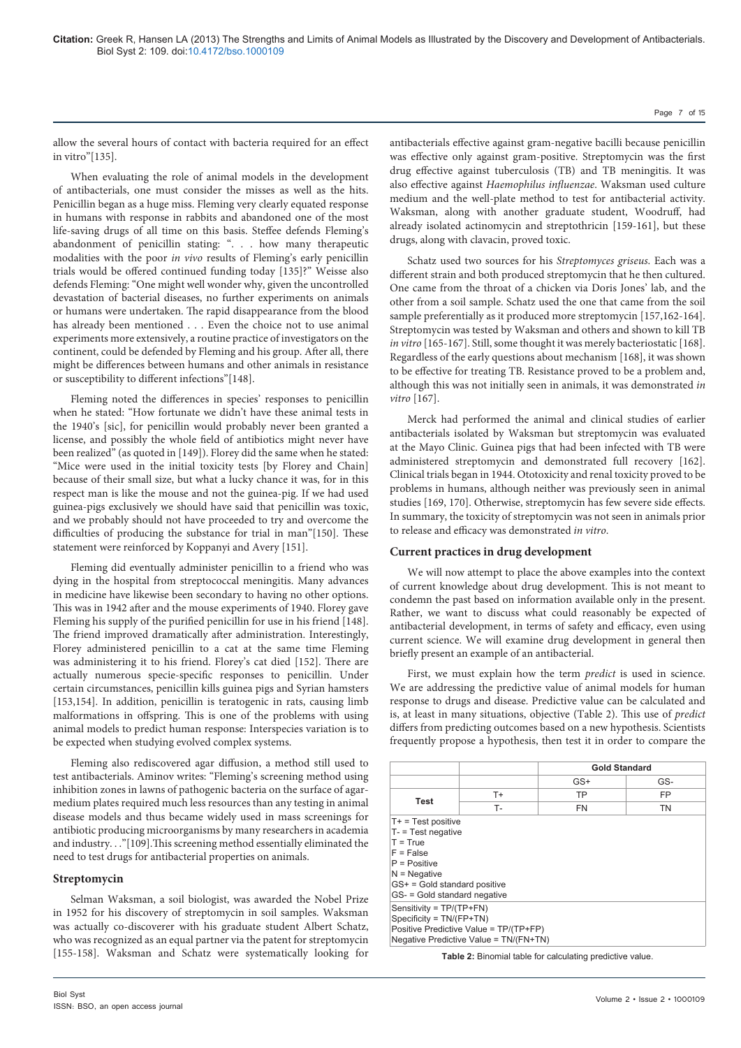allow the several hours of contact with bacteria required for an effect in vitro"[135].

When evaluating the role of animal models in the development of antibacterials, one must consider the misses as well as the hits. Penicillin began as a huge miss. Fleming very clearly equated response in humans with response in rabbits and abandoned one of the most life-saving drugs of all time on this basis. Steffee defends Fleming's abandonment of penicillin stating: ". . . how many therapeutic modalities with the poor *in vivo* results of Fleming's early penicillin trials would be offered continued funding today [135]?" Weisse also defends Fleming: "One might well wonder why, given the uncontrolled devastation of bacterial diseases, no further experiments on animals or humans were undertaken. The rapid disappearance from the blood has already been mentioned . . . Even the choice not to use animal experiments more extensively, a routine practice of investigators on the continent, could be defended by Fleming and his group. After all, there might be differences between humans and other animals in resistance or susceptibility to different infections"[148].

Fleming noted the differences in species' responses to penicillin when he stated: "How fortunate we didn't have these animal tests in the 1940's [sic], for penicillin would probably never been granted a license, and possibly the whole field of antibiotics might never have been realized" (as quoted in [149]). Florey did the same when he stated: "Mice were used in the initial toxicity tests [by Florey and Chain] because of their small size, but what a lucky chance it was, for in this respect man is like the mouse and not the guinea-pig. If we had used guinea-pigs exclusively we should have said that penicillin was toxic, and we probably should not have proceeded to try and overcome the difficulties of producing the substance for trial in man"[150]. These statement were reinforced by Koppanyi and Avery [151].

Fleming did eventually administer penicillin to a friend who was dying in the hospital from streptococcal meningitis. Many advances in medicine have likewise been secondary to having no other options. This was in 1942 after and the mouse experiments of 1940. Florey gave Fleming his supply of the purified penicillin for use in his friend [148]. The friend improved dramatically after administration. Interestingly, Florey administered penicillin to a cat at the same time Fleming was administering it to his friend. Florey's cat died [152]. There are actually numerous specie-specific responses to penicillin. Under certain circumstances, penicillin kills guinea pigs and Syrian hamsters [153,154]. In addition, penicillin is teratogenic in rats, causing limb malformations in offspring. This is one of the problems with using animal models to predict human response: Interspecies variation is to be expected when studying evolved complex systems.

Fleming also rediscovered agar diffusion, a method still used to test antibacterials. Aminov writes: "Fleming's screening method using inhibition zones in lawns of pathogenic bacteria on the surface of agarmedium plates required much less resources than any testing in animal disease models and thus became widely used in mass screenings for antibiotic producing microorganisms by many researchers in academia and industry. . ."[109].This screening method essentially eliminated the need to test drugs for antibacterial properties on animals.

# **Streptomycin**

Selman Waksman, a soil biologist, was awarded the Nobel Prize in 1952 for his discovery of streptomycin in soil samples. Waksman was actually co-discoverer with his graduate student Albert Schatz, who was recognized as an equal partner via the patent for streptomycin [155-158]. Waksman and Schatz were systematically looking for antibacterials effective against gram-negative bacilli because penicillin was effective only against gram-positive. Streptomycin was the first drug effective against tuberculosis (TB) and TB meningitis. It was also effective against *Haemophilus influenzae*. Waksman used culture medium and the well-plate method to test for antibacterial activity. Waksman, along with another graduate student, Woodruff, had already isolated actinomycin and streptothricin [159-161], but these drugs, along with clavacin, proved toxic.

Schatz used two sources for his *Streptomyces griseus*. Each was a different strain and both produced streptomycin that he then cultured. One came from the throat of a chicken via Doris Jones' lab, and the other from a soil sample. Schatz used the one that came from the soil sample preferentially as it produced more streptomycin [157,162-164]. Streptomycin was tested by Waksman and others and shown to kill TB *in vitro* [165-167]. Still, some thought it was merely bacteriostatic [168]. Regardless of the early questions about mechanism [168], it was shown to be effective for treating TB. Resistance proved to be a problem and, although this was not initially seen in animals, it was demonstrated *in vitro* [167].

Merck had performed the animal and clinical studies of earlier antibacterials isolated by Waksman but streptomycin was evaluated at the Mayo Clinic. Guinea pigs that had been infected with TB were administered streptomycin and demonstrated full recovery [162]. Clinical trials began in 1944. Ototoxicity and renal toxicity proved to be problems in humans, although neither was previously seen in animal studies [169, 170]. Otherwise, streptomycin has few severe side effects. In summary, the toxicity of streptomycin was not seen in animals prior to release and efficacy was demonstrated *in vitro*.

# **Current practices in drug development**

We will now attempt to place the above examples into the context of current knowledge about drug development. This is not meant to condemn the past based on information available only in the present. Rather, we want to discuss what could reasonably be expected of antibacterial development, in terms of safety and efficacy, even using current science. We will examine drug development in general then briefly present an example of an antibacterial.

First, we must explain how the term *predict* is used in science. We are addressing the predictive value of animal models for human response to drugs and disease. Predictive value can be calculated and is, at least in many situations, objective (Table 2). This use of *predict* differs from predicting outcomes based on a new hypothesis. Scientists frequently propose a hypothesis, then test it in order to compare the

|                                                                                                                                                                                     |      | <b>Gold Standard</b> |     |  |  |  |
|-------------------------------------------------------------------------------------------------------------------------------------------------------------------------------------|------|----------------------|-----|--|--|--|
|                                                                                                                                                                                     |      | $GS+$                | GS- |  |  |  |
|                                                                                                                                                                                     | $T+$ | TP                   | FP  |  |  |  |
| Test                                                                                                                                                                                | т.   | <b>FN</b>            | TN  |  |  |  |
| $T - $ Test negative<br>$T = True$<br>$F = False$<br>$P = Positive$<br>$N = Neqative$<br>$GS+ = Gold standard positive$<br>GS- = Gold standard negative<br>Sensitivity = TP/(TP+FN) |      |                      |     |  |  |  |
|                                                                                                                                                                                     |      |                      |     |  |  |  |

**Table 2:** Binomial table for calculating predictive value.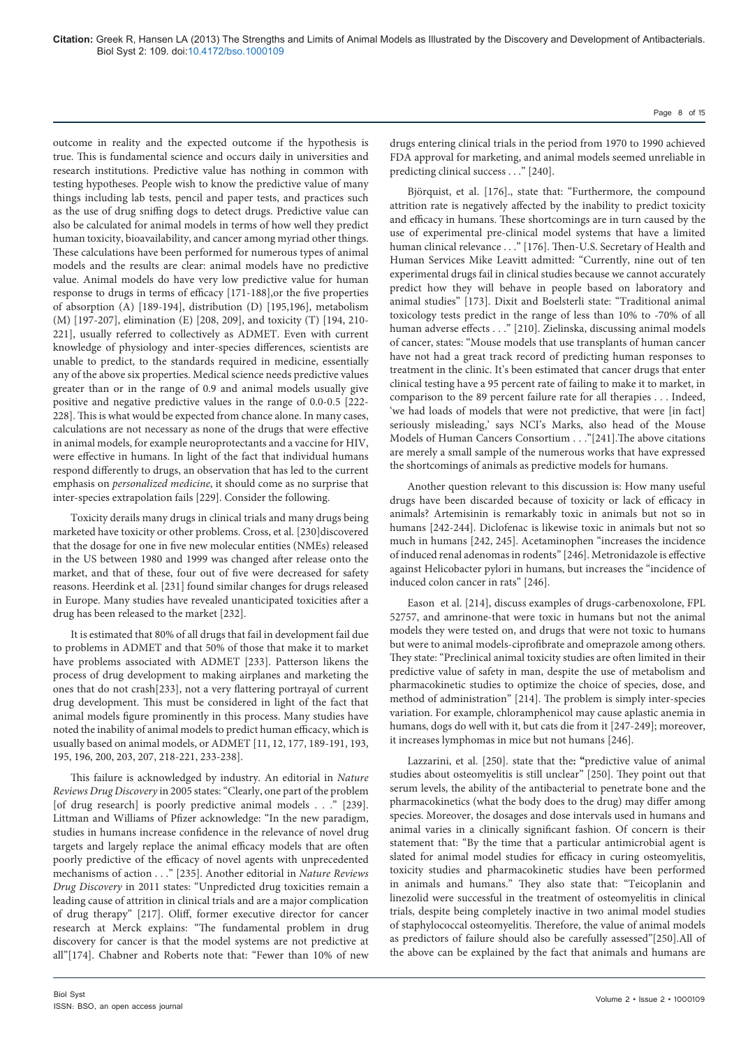outcome in reality and the expected outcome if the hypothesis is true. This is fundamental science and occurs daily in universities and research institutions. Predictive value has nothing in common with testing hypotheses. People wish to know the predictive value of many things including lab tests, pencil and paper tests, and practices such as the use of drug sniffing dogs to detect drugs. Predictive value can also be calculated for animal models in terms of how well they predict human toxicity, bioavailability, and cancer among myriad other things. These calculations have been performed for numerous types of animal models and the results are clear: animal models have no predictive value. Animal models do have very low predictive value for human response to drugs in terms of efficacy [171-188],or the five properties of absorption (A) [189-194], distribution (D) [195,196], metabolism (M) [197-207], elimination (E) [208, 209], and toxicity (T) [194, 210- 221], usually referred to collectively as ADMET. Even with current knowledge of physiology and inter-species differences, scientists are unable to predict, to the standards required in medicine, essentially any of the above six properties. Medical science needs predictive values greater than or in the range of 0.9 and animal models usually give positive and negative predictive values in the range of 0.0-0.5 [222- 228]. This is what would be expected from chance alone. In many cases, calculations are not necessary as none of the drugs that were effective in animal models, for example neuroprotectants and a vaccine for HIV, were effective in humans. In light of the fact that individual humans respond differently to drugs, an observation that has led to the current emphasis on *personalized medicine*, it should come as no surprise that inter-species extrapolation fails [229]. Consider the following.

Toxicity derails many drugs in clinical trials and many drugs being marketed have toxicity or other problems. Cross, et al. [230]discovered that the dosage for one in five new molecular entities (NMEs) released in the US between 1980 and 1999 was changed after release onto the market, and that of these, four out of five were decreased for safety reasons. Heerdink et al. [231] found similar changes for drugs released in Europe. Many studies have revealed unanticipated toxicities after a drug has been released to the market [232].

It is estimated that 80% of all drugs that fail in development fail due to problems in ADMET and that 50% of those that make it to market have problems associated with ADMET [233]. Patterson likens the process of drug development to making airplanes and marketing the ones that do not crash[233], not a very flattering portrayal of current drug development. This must be considered in light of the fact that animal models figure prominently in this process. Many studies have noted the inability of animal models to predict human efficacy, which is usually based on animal models, or ADMET [11, 12, 177, 189-191, 193, 195, 196, 200, 203, 207, 218-221, 233-238].

This failure is acknowledged by industry. An editorial in *Nature Reviews Drug Discovery* in 2005 states: "Clearly, one part of the problem [of drug research] is poorly predictive animal models . . ." [239]. Littman and Williams of Pfizer acknowledge: "In the new paradigm, studies in humans increase confidence in the relevance of novel drug targets and largely replace the animal efficacy models that are often poorly predictive of the efficacy of novel agents with unprecedented mechanisms of action . . ." [235]. Another editorial in *Nature Reviews Drug Discovery* in 2011 states: "Unpredicted drug toxicities remain a leading cause of attrition in clinical trials and are a major complication of drug therapy" [217]. Oliff, former executive director for cancer research at Merck explains: "The fundamental problem in drug discovery for cancer is that the model systems are not predictive at all"[174]. Chabner and Roberts note that: "Fewer than 10% of new

drugs entering clinical trials in the period from 1970 to 1990 achieved FDA approval for marketing, and animal models seemed unreliable in predicting clinical success . . ." [240].

Björquist, et al. [176]., state that: "Furthermore, the compound attrition rate is negatively affected by the inability to predict toxicity and efficacy in humans. These shortcomings are in turn caused by the use of experimental pre-clinical model systems that have a limited human clinical relevance . . . " [176]. Then-U.S. Secretary of Health and Human Services Mike Leavitt admitted: "Currently, nine out of ten experimental drugs fail in clinical studies because we cannot accurately predict how they will behave in people based on laboratory and animal studies" [173]. Dixit and Boelsterli state: "Traditional animal toxicology tests predict in the range of less than 10% to -70% of all human adverse effects . . ." [210]. Zielinska, discussing animal models of cancer, states: "Mouse models that use transplants of human cancer have not had a great track record of predicting human responses to treatment in the clinic. It's been estimated that cancer drugs that enter clinical testing have a 95 percent rate of failing to make it to market, in comparison to the 89 percent failure rate for all therapies . . . Indeed, 'we had loads of models that were not predictive, that were [in fact] seriously misleading,' says NCI's Marks, also head of the Mouse Models of Human Cancers Consortium . . ."[241].The above citations are merely a small sample of the numerous works that have expressed the shortcomings of animals as predictive models for humans.

Another question relevant to this discussion is: How many useful drugs have been discarded because of toxicity or lack of efficacy in animals? Artemisinin is remarkably toxic in animals but not so in humans [242-244]. Diclofenac is likewise toxic in animals but not so much in humans [242, 245]. Acetaminophen "increases the incidence of induced renal adenomas in rodents" [246]. Metronidazole is effective against Helicobacter pylori in humans, but increases the "incidence of induced colon cancer in rats" [246].

Eason et al. [214], discuss examples of drugs-carbenoxolone, FPL 52757, and amrinone-that were toxic in humans but not the animal models they were tested on, and drugs that were not toxic to humans but were to animal models-ciprofibrate and omeprazole among others. They state: "Preclinical animal toxicity studies are often limited in their predictive value of safety in man, despite the use of metabolism and pharmacokinetic studies to optimize the choice of species, dose, and method of administration" [214]. The problem is simply inter-species variation. For example, chloramphenicol may cause aplastic anemia in humans, dogs do well with it, but cats die from it [247-249]; moreover, it increases lymphomas in mice but not humans [246].

Lazzarini, et al. [250]. state that the**: "**predictive value of animal studies about osteomyelitis is still unclear" [250]. They point out that serum levels, the ability of the antibacterial to penetrate bone and the pharmacokinetics (what the body does to the drug) may differ among species. Moreover, the dosages and dose intervals used in humans and animal varies in a clinically significant fashion. Of concern is their statement that: "By the time that a particular antimicrobial agent is slated for animal model studies for efficacy in curing osteomyelitis, toxicity studies and pharmacokinetic studies have been performed in animals and humans." They also state that: "Teicoplanin and linezolid were successful in the treatment of osteomyelitis in clinical trials, despite being completely inactive in two animal model studies of staphylococcal osteomyelitis. Therefore, the value of animal models as predictors of failure should also be carefully assessed"[250].All of the above can be explained by the fact that animals and humans are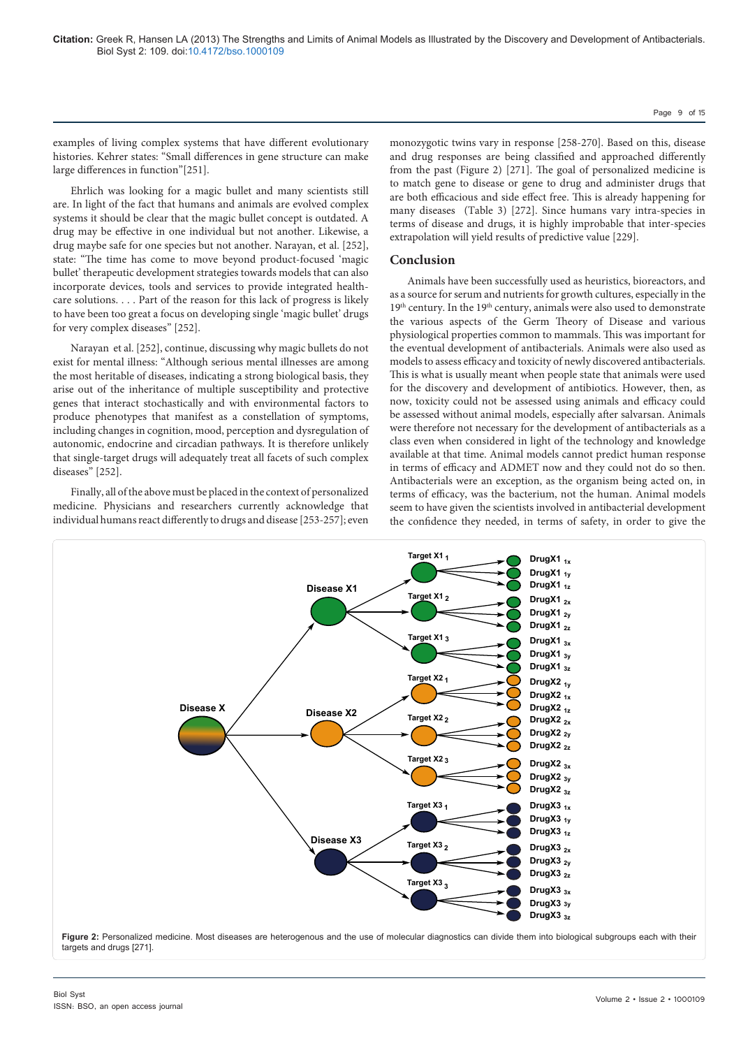examples of living complex systems that have different evolutionary histories. Kehrer states: "Small differences in gene structure can make large differences in function"[251].

Ehrlich was looking for a magic bullet and many scientists still are. In light of the fact that humans and animals are evolved complex systems it should be clear that the magic bullet concept is outdated. A drug may be effective in one individual but not another. Likewise, a drug maybe safe for one species but not another. Narayan, et al. [252], state: "The time has come to move beyond product-focused 'magic bullet' therapeutic development strategies towards models that can also incorporate devices, tools and services to provide integrated healthcare solutions. . . . Part of the reason for this lack of progress is likely to have been too great a focus on developing single 'magic bullet' drugs for very complex diseases" [252].

Narayan et al. [252], continue, discussing why magic bullets do not exist for mental illness: "Although serious mental illnesses are among the most heritable of diseases, indicating a strong biological basis, they arise out of the inheritance of multiple susceptibility and protective genes that interact stochastically and with environmental factors to produce phenotypes that manifest as a constellation of symptoms, including changes in cognition, mood, perception and dysregulation of autonomic, endocrine and circadian pathways. It is therefore unlikely that single-target drugs will adequately treat all facets of such complex diseases" [252].

Finally, all of the above must be placed in the context of personalized medicine. Physicians and researchers currently acknowledge that individual humans react differently to drugs and disease [253-257]; even

monozygotic twins vary in response [258-270]. Based on this, disease and drug responses are being classified and approached differently from the past (Figure 2) [271]. The goal of personalized medicine is to match gene to disease or gene to drug and administer drugs that are both efficacious and side effect free. This is already happening for many diseases (Table 3) [272]. Since humans vary intra-species in terms of disease and drugs, it is highly improbable that inter-species extrapolation will yield results of predictive value [229].

# **Conclusion**

Animals have been successfully used as heuristics, bioreactors, and as a source for serum and nutrients for growth cultures, especially in the 19<sup>th</sup> century. In the 19<sup>th</sup> century, animals were also used to demonstrate the various aspects of the Germ Theory of Disease and various physiological properties common to mammals. This was important for the eventual development of antibacterials. Animals were also used as models to assess efficacy and toxicity of newly discovered antibacterials. This is what is usually meant when people state that animals were used for the discovery and development of antibiotics. However, then, as now, toxicity could not be assessed using animals and efficacy could be assessed without animal models, especially after salvarsan. Animals were therefore not necessary for the development of antibacterials as a class even when considered in light of the technology and knowledge available at that time. Animal models cannot predict human response in terms of efficacy and ADMET now and they could not do so then. Antibacterials were an exception, as the organism being acted on, in terms of efficacy, was the bacterium, not the human. Animal models seem to have given the scientists involved in antibacterial development the confidence they needed, in terms of safety, in order to give the

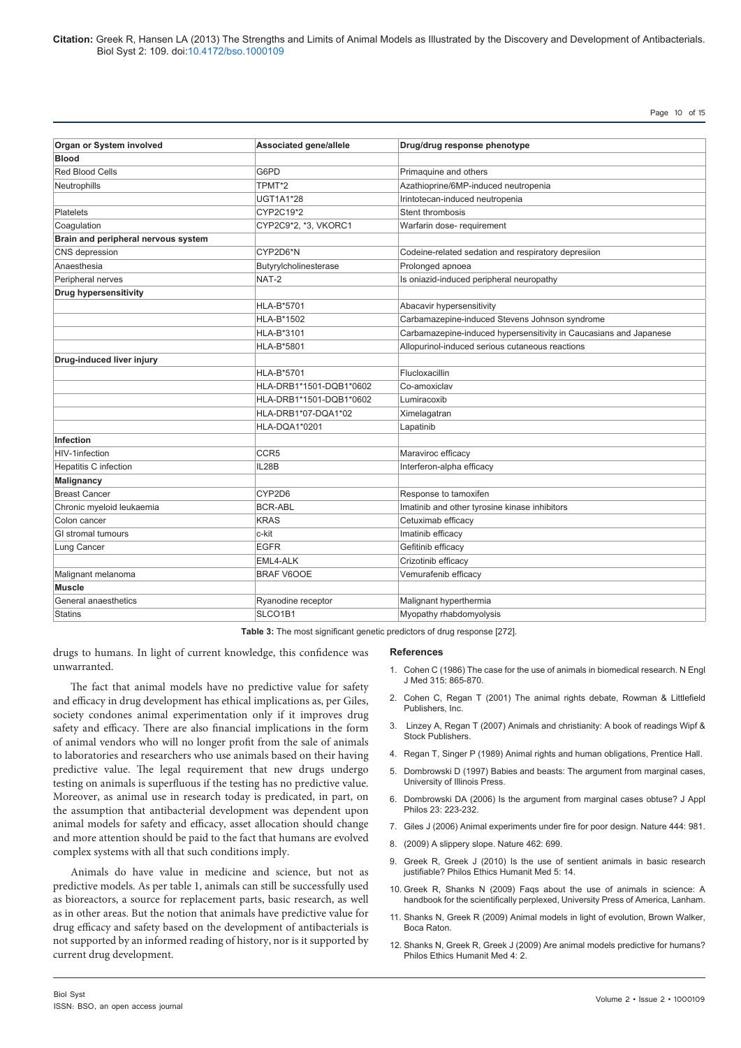**Citation:** Greek R, Hansen LA (2013) The Strengths and Limits of Animal Models as Illustrated by the Discovery and Development of Antibacterials. Biol Syst 2: 109. doi:10.4172/bso.1000109

Page 10 of 15

| Organ or System involved            | Associated gene/allele        | Drug/drug response phenotype                                      |  |
|-------------------------------------|-------------------------------|-------------------------------------------------------------------|--|
| <b>Blood</b>                        |                               |                                                                   |  |
| <b>Red Blood Cells</b>              | G6PD<br>Primaquine and others |                                                                   |  |
| Neutrophills                        | TPMT*2                        | Azathioprine/6MP-induced neutropenia                              |  |
|                                     | <b>UGT1A1*28</b>              | Irintotecan-induced neutropenia                                   |  |
| <b>Platelets</b>                    | CYP2C19*2                     | Stent thrombosis                                                  |  |
| Coagulation                         | CYP2C9*2, *3, VKORC1          | Warfarin dose- requirement                                        |  |
| Brain and peripheral nervous system |                               |                                                                   |  |
| CNS depression                      | CYP2D6*N                      | Codeine-related sedation and respiratory depresiion               |  |
| Anaesthesia                         | Butyrylcholinesterase         | Prolonged apnoea                                                  |  |
| Peripheral nerves                   | NAT-2                         | Is oniazid-induced peripheral neuropathy                          |  |
| <b>Drug hypersensitivity</b>        |                               |                                                                   |  |
|                                     | <b>HLA-B*5701</b>             | Abacavir hypersensitivity                                         |  |
|                                     | HLA-B*1502                    | Carbamazepine-induced Stevens Johnson syndrome                    |  |
|                                     | HLA-B*3101                    | Carbamazepine-induced hypersensitivity in Caucasians and Japanese |  |
|                                     | HLA-B*5801                    | Allopurinol-induced serious cutaneous reactions                   |  |
| Drug-induced liver injury           |                               |                                                                   |  |
|                                     | HLA-B*5701                    | Flucloxacillin                                                    |  |
|                                     | HLA-DRB1*1501-DQB1*0602       | Co-amoxiclav                                                      |  |
|                                     | HLA-DRB1*1501-DQB1*0602       | Lumiracoxib                                                       |  |
|                                     | HLA-DRB1*07-DQA1*02           | Ximelagatran                                                      |  |
|                                     | HLA-DQA1*0201                 | Lapatinib                                                         |  |
| Infection                           |                               |                                                                   |  |
| HIV-1infection                      | CCR <sub>5</sub>              | Maraviroc efficacy                                                |  |
| <b>Hepatitis C infection</b>        | IL28B                         | Interferon-alpha efficacy                                         |  |
| Malignancy                          |                               |                                                                   |  |
| <b>Breast Cancer</b>                | CYP2D6                        | Response to tamoxifen                                             |  |
| Chronic myeloid leukaemia           | <b>BCR-ABL</b>                | Imatinib and other tyrosine kinase inhibitors                     |  |
| Colon cancer                        | <b>KRAS</b>                   | Cetuximab efficacy                                                |  |
| GI stromal tumours                  | c-kit                         | Imatinib efficacy                                                 |  |
| Lung Cancer                         | <b>EGFR</b>                   | Gefitinib efficacy                                                |  |
|                                     | EML4-ALK                      | Crizotinib efficacy                                               |  |
| Malignant melanoma                  | <b>BRAF V6OOE</b>             | Vemurafenib efficacy                                              |  |
| <b>Muscle</b>                       |                               |                                                                   |  |
| General anaesthetics                | Ryanodine receptor            | Malignant hyperthermia                                            |  |
| <b>Statins</b>                      | SLCO1B1                       | Myopathy rhabdomyolysis                                           |  |

**Table 3:** The most significant genetic predictors of drug response [272].

drugs to humans. In light of current knowledge, this confidence was unwarranted.

The fact that animal models have no predictive value for safety and efficacy in drug development has ethical implications as, per Giles, society condones animal experimentation only if it improves drug safety and efficacy. There are also financial implications in the form of animal vendors who will no longer profit from the sale of animals to laboratories and researchers who use animals based on their having predictive value. The legal requirement that new drugs undergo testing on animals is superfluous if the testing has no predictive value. Moreover, as animal use in research today is predicated, in part, on the assumption that antibacterial development was dependent upon animal models for safety and efficacy, asset allocation should change and more attention should be paid to the fact that humans are evolved complex systems with all that such conditions imply.

Animals do have value in medicine and science, but not as predictive models. As per table 1, animals can still be successfully used as bioreactors, a source for replacement parts, basic research, as well as in other areas. But the notion that animals have predictive value for drug efficacy and safety based on the development of antibacterials is not supported by an informed reading of history, nor is it supported by current drug development.

# **References**

- 1. [Cohen C \(1986\) The case for the use of animals in biomedical research. N Engl](http://www.ncbi.nlm.nih.gov/pubmed/3748104)  [J Med 315: 865-870.](http://www.ncbi.nlm.nih.gov/pubmed/3748104)
- 2. [Cohen C, Regan T \(2001\) The animal rights debate, Rowman & Littlefield](http://books.google.co.in/books?id=FjRJ3g9-6FcC&pg=PR4&lpg=PR4&dq=The+animal+rights+debate,+Rowman+%26+Littlefield+Publishers,+Inc.&source=bl&ots=F_l83KgPgT&sig=dcHhOHlbsjMcKycFItP0b1hyXb8&hl=en&sa=X&ei=9Dp5UY-6BIvQrQe854CQAw&ved=0CDQQ6AEwAQ#v=onepage&q=Th)  [Publishers, Inc.](http://books.google.co.in/books?id=FjRJ3g9-6FcC&pg=PR4&lpg=PR4&dq=The+animal+rights+debate,+Rowman+%26+Littlefield+Publishers,+Inc.&source=bl&ots=F_l83KgPgT&sig=dcHhOHlbsjMcKycFItP0b1hyXb8&hl=en&sa=X&ei=9Dp5UY-6BIvQrQe854CQAw&ved=0CDQQ6AEwAQ#v=onepage&q=Th)
- 3. [Linzey A, Regan T \(2007\) Animals and christianity: A book of readings Wipf &](https://wipfandstock.com/store/Animals_and_Christianity_A_Book_of_Readings)  [Stock Publishers.](https://wipfandstock.com/store/Animals_and_Christianity_A_Book_of_Readings)
- 4. [Regan T, Singer P \(1989\) Animal rights and human obligations, Prentice Hall.](http://books.google.co.in/books/about/Animal_rights_and_human_obligations.html?id=Aj2lQgAACAAJ&redir_esc=y)
- 5. [Dombrowski D \(1997\) Babies and beasts: The argument from marginal cases,](http://books.google.co.in/books?id=Fj_Vz7TeIiYC&pg=PP5&lpg=PP5&dq=Babies+and+beasts:+The+argument+from+marginal+cases,+University+of+Illinois+Press.&source=bl&ots=BITvnD7Ioi&sig=5taJh0DgEVvsX_qKixc5cXxo9-s&hl=en&sa=X&ei=XDx5UbzVNIPxrQeogYGYDQ&ved=0CEEQ6AEw)  [University of Illinois Press.](http://books.google.co.in/books?id=Fj_Vz7TeIiYC&pg=PP5&lpg=PP5&dq=Babies+and+beasts:+The+argument+from+marginal+cases,+University+of+Illinois+Press.&source=bl&ots=BITvnD7Ioi&sig=5taJh0DgEVvsX_qKixc5cXxo9-s&hl=en&sa=X&ei=XDx5UbzVNIPxrQeogYGYDQ&ved=0CEEQ6AEw)
- 6. [Dombrowski DA \(2006\) Is the argument from marginal cases obtuse? J Appl](http://www.ncbi.nlm.nih.gov/pubmed/17036431)  [Philos 23: 223-232.](http://www.ncbi.nlm.nih.gov/pubmed/17036431)
- 7. [Giles J \(2006\) Animal experiments under fire for poor design. Nature 444: 981.](http://www.ncbi.nlm.nih.gov/pubmed/17183281)
- 8. [\(2009\) A slippery slope. Nature 462: 699.](http://www.ncbi.nlm.nih.gov/pubmed/20010640)
- 9. [Greek R, Greek J \(2010\) Is the use of sentient animals in basic research](http://www.ncbi.nlm.nih.gov/pubmed/20825676)  [justifiable? Philos Ethics Humanit Med 5: 14.](http://www.ncbi.nlm.nih.gov/pubmed/20825676)
- 10. [Greek R, Shanks N \(2009\) Faqs about the use of animals in science: A](http://www.amazon.com/FAQs-About-Animals-Science-scientifically/dp/0761848495)  [handbook for the scientifically perplexed, University Press of America, Lanham.](http://www.amazon.com/FAQs-About-Animals-Science-scientifically/dp/0761848495)
- 11. [Shanks N, Greek R \(2009\) Animal models in light of evolution, Brown Walker,](http://www.bookpump.com/bwp/pdf-b/9425025b.pdf)  [Boca Raton](http://www.bookpump.com/bwp/pdf-b/9425025b.pdf).
- 12. [Shanks N, Greek R, Greek J \(2009\) Are animal models predictive for humans?](http://www.ncbi.nlm.nih.gov/pubmed/19146696)  [Philos Ethics Humanit Med 4: 2.](http://www.ncbi.nlm.nih.gov/pubmed/19146696)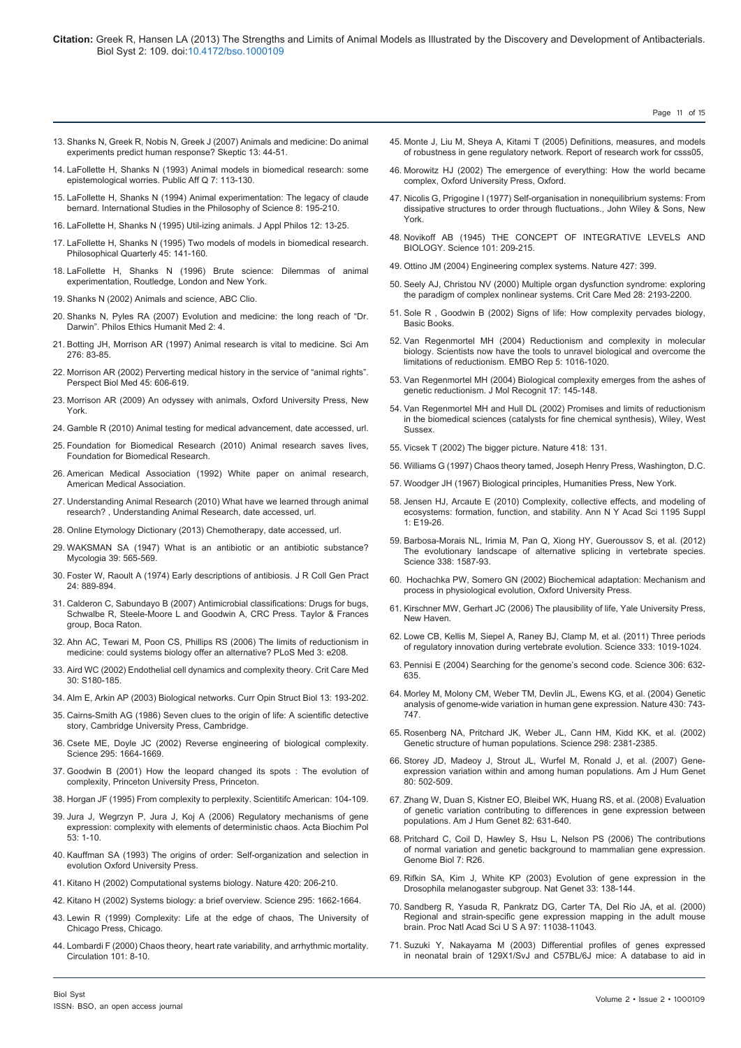- 13. [Shanks N, Greek R, Nobis N, Greek J \(2007\) Animals and medicine: Do animal](http://www.animalliberationfront.com/Philosophy/Animal Testing/skeptic-animals-and-medicine.pdf) [experiments predict human response? Skeptic 13: 44-51](http://www.animalliberationfront.com/Philosophy/Animal Testing/skeptic-animals-and-medicine.pdf).
- 14. [LaFollette H, Shanks N \(1993\) Animal models in biomedical research: some](http://www.ncbi.nlm.nih.gov/pubmed/11652915) [epistemological worries. Public Aff Q 7: 113-130.](http://www.ncbi.nlm.nih.gov/pubmed/11652915)
- 15. [LaFollette H, Shanks N \(1994\) Animal experimentation: The legacy of claude](http://mechanism.ucsd.edu/teaching/philbio/Animal Experimentation The Legacy of Claude Bernard.htm) [bernard. International Studies in the Philosophy of Science 8: 195-210.](http://mechanism.ucsd.edu/teaching/philbio/Animal Experimentation The Legacy of Claude Bernard.htm)
- 16. [LaFollette H, Shanks N \(1995\) Util-izing animals. J Appl Philos 12: 13-25.](http://www.ncbi.nlm.nih.gov/pubmed/12416523)
- 17. [LaFollette H, Shanks N \(1995\) Two models of models in biomedical research.](http://www.jstor.org/discover/10.2307/2220412?uid=3738256&uid=2129&uid=2&uid=70&uid=4&sid=21102096097251) [Philosophical Quarterly 45: 141-160.](http://www.jstor.org/discover/10.2307/2220412?uid=3738256&uid=2129&uid=2&uid=70&uid=4&sid=21102096097251)
- 18. [LaFollette H, Shanks N \(1996\) Brute science: Dilemmas of animal](http://books.google.co.in/books/about/Brute_science.html?id=KmEx_bhnsDQC&redir_esc=y) [experimentation, Routledge, London and New York.](http://books.google.co.in/books/about/Brute_science.html?id=KmEx_bhnsDQC&redir_esc=y)
- 19. [Shanks N \(2002\) Animals and science, ABC Clio.](http://www.abc-clio.com/product.aspx?isbn=9781576072462)
- 20. [Shanks N, Pyles RA \(2007\) Evolution and medicine: the long reach of "Dr.](http://www.ncbi.nlm.nih.gov/pubmed/17407602) [Darwin". Philos Ethics Humanit Med 2: 4.](http://www.ncbi.nlm.nih.gov/pubmed/17407602)
- 21. [Botting JH, Morrison AR \(1997\) Animal research is vital to medicine. Sci Am](http://www.ncbi.nlm.nih.gov/pubmed/9000766) [276: 83-85.](http://www.ncbi.nlm.nih.gov/pubmed/9000766)
- 22. [Morrison AR \(2002\) Perverting medical history in the service of "animal rights".](http://www.ncbi.nlm.nih.gov/pubmed/12388891) [Perspect Biol Med 45: 606-619.](http://www.ncbi.nlm.nih.gov/pubmed/12388891)
- 23. [Morrison AR \(2009\) An odyssey with animals, Oxford University Press, New](http://www.amazon.com/Odyssey-Animals-Veterinarians-Reflections-Welfare/dp/0195374444) [York](http://www.amazon.com/Odyssey-Animals-Veterinarians-Reflections-Welfare/dp/0195374444).
- 24. Gamble R (2010) Animal testing for medical advancement, date accessed, url.
- 25. [Foundation for Biomedical Research \(2010\) Animal research saves lives,](http://www.mofed.org/Animal_Research.htm) [Foundation for Biomedical Research.](http://www.mofed.org/Animal_Research.htm)
- 26. American Medical Association (1992) White paper on animal research, American Medical Association.
- 27. Understanding Animal Research (2010) What have we learned through animal research? , Understanding Animal Research, date accessed, url.
- 28. Online Etymology Dictionary (2013) Chemotherapy, date accessed, url.
- 29. [WAKSMAN SA \(1947\) What is an antibiotic or an antibiotic substance?](http://www.ncbi.nlm.nih.gov/pubmed/20264541) [Mycologia 39: 565-569.](http://www.ncbi.nlm.nih.gov/pubmed/20264541)
- 30. [Foster W, Raoult A \(1974\) Early descriptions of antibiosis. J R Coll Gen Pract](http://www.ncbi.nlm.nih.gov/pubmed/4618289) [24: 889-894.](http://www.ncbi.nlm.nih.gov/pubmed/4618289)
- 31. Calderon C, Sabundayo B (2007) Antimicrobial classifications: Drugs for bugs, Schwalbe R, Steele-Moore L and Goodwin A, CRC Press. Taylor & Frances group, Boca Raton.
- 32. [Ahn AC, Tewari M, Poon CS, Phillips RS \(2006\) The limits of reductionism in](http://www.ncbi.nlm.nih.gov/pubmed/16681415) [medicine: could systems biology offer an alternative? PLoS Med 3: e208.](http://www.ncbi.nlm.nih.gov/pubmed/16681415)
- 33. [Aird WC \(2002\) Endothelial cell dynamics and complexity theory. Crit Care Med](http://www.ncbi.nlm.nih.gov/pubmed/12004233) [30: S180-185.](http://www.ncbi.nlm.nih.gov/pubmed/12004233)
- 34. [Alm E, Arkin AP \(2003\) Biological networks. Curr Opin Struct Biol 13: 193-202.](http://www.ncbi.nlm.nih.gov/pubmed/12727512)
- 35. [Cairns-Smith AG \(1986\) Seven clues to the origin of life: A scientific detective](http://www.amazon.com/Seven-Clues-Origin-Life-Scientific/dp/0521398282) [story, Cambridge University Press, Cambridge.](http://www.amazon.com/Seven-Clues-Origin-Life-Scientific/dp/0521398282)
- 36. [Csete ME, Doyle JC \(2002\) Reverse engineering of biological complexity.](http://www.ncbi.nlm.nih.gov/pubmed/11872830) [Science 295: 1664-1669.](http://www.ncbi.nlm.nih.gov/pubmed/11872830)
- 37. [Goodwin B \(2001\) How the leopard changed its spots : The evolution of](http://press.princeton.edu/titles/7043.html) [complexity, Princeton University Press, Princeton.](http://press.princeton.edu/titles/7043.html)
- 38. [Horgan JF \(1995\) From complexity to perplexity. Scientitifc American: 104-109](http://www2.econ.iastate.edu/tesfatsi/hogan.complexperplex.htm).
- 39. [Jura J, Wegrzyn P, Jura J, Koj A \(2006\) Regulatory mechanisms of gene](http://www.ncbi.nlm.nih.gov/pubmed/16505901) [expression: complexity with elements of deterministic chaos. Acta Biochim Pol](http://www.ncbi.nlm.nih.gov/pubmed/16505901) [53: 1-10.](http://www.ncbi.nlm.nih.gov/pubmed/16505901)
- 40. [Kauffman SA \(1993\) The origins of order: Self-organization and selection in](http://www.oup.com/us/catalog/general/subject/LifeSciences/EvolutionaryBiology/?ci=9780195079517) [evolution Oxford University Press](http://www.oup.com/us/catalog/general/subject/LifeSciences/EvolutionaryBiology/?ci=9780195079517).
- 41. [Kitano H \(2002\) Computational systems biology. Nature 420: 206-210.](http://www.ncbi.nlm.nih.gov/pubmed/12432404)
- 42. [Kitano H \(2002\) Systems biology: a brief overview. Science 295: 1662-1664.](http://www.ncbi.nlm.nih.gov/pubmed/11872829)
- 43. [Lewin R \(1999\) Complexity: Life at the edge of chaos, The University of](http://www.press.uchicago.edu/ucp/books/book/chicago/C/bo3632102.html) [Chicago Press, Chicago.](http://www.press.uchicago.edu/ucp/books/book/chicago/C/bo3632102.html)
- 44. [Lombardi F \(2000\) Chaos theory, heart rate variability, and arrhythmic mortality.](http://www.ncbi.nlm.nih.gov/pubmed/10618296) [Circulation 101: 8-10.](http://www.ncbi.nlm.nih.gov/pubmed/10618296)

45. [Monte J, Liu M, Sheya A, Kitami T \(2005\) Definitions, measures, and models](http://citeseerx.ist.psu.edu/viewdoc/summary?doi=10.1.1.89.1604)  [of robustness in gene regulatory network. Report of research work for csss05](http://citeseerx.ist.psu.edu/viewdoc/summary?doi=10.1.1.89.1604),

Page 11 of 15

- 46. [Morowitz HJ \(2002\) The emergence of everything: How the world became](http://innovationwatch.com/the-emergence-of-everything-how-the-world-became-complex-by-harold-j-morowitz-oxford-university-press/)  [complex, Oxford University Press, Oxford.](http://innovationwatch.com/the-emergence-of-everything-how-the-world-became-complex-by-harold-j-morowitz-oxford-university-press/)
- 47. [Nicolis G, Prigogine I \(1977\) Self-organisation in nonequilibrium systems: From](http://www.amazon.com/Self-Organization-Nonequilibrium-Systems-Dissipative-Fluctuations/dp/0471024015)  [dissipative structures to order through fluctuations., John Wiley & Sons, New](http://www.amazon.com/Self-Organization-Nonequilibrium-Systems-Dissipative-Fluctuations/dp/0471024015)  [York.](http://www.amazon.com/Self-Organization-Nonequilibrium-Systems-Dissipative-Fluctuations/dp/0471024015)
- 48. [Novikoff AB \(1945\) THE CONCEPT OF INTEGRATIVE LEVELS AND](http://www.ncbi.nlm.nih.gov/pubmed/17814095)  [BIOLOGY. Science 101: 209-215.](http://www.ncbi.nlm.nih.gov/pubmed/17814095)
- 49. [Ottino JM \(2004\) Engineering complex systems. Nature 427: 399.](http://www.ncbi.nlm.nih.gov/pubmed/14749808)
- 50. [Seely AJ, Christou NV \(2000\) Multiple organ dysfunction syndrome: exploring](http://www.ncbi.nlm.nih.gov/pubmed/10921540)  [the paradigm of complex nonlinear systems. Crit Care Med 28: 2193-2200.](http://www.ncbi.nlm.nih.gov/pubmed/10921540)
- 51. [Sole R , Goodwin B \(2002\) Signs of life: How complexity pervades biology,](http://www.amazon.com/Signs-Life-Complexity-Pervades-Biology/dp/0465019285)  [Basic Books](http://www.amazon.com/Signs-Life-Complexity-Pervades-Biology/dp/0465019285).
- 52. [Van Regenmortel MH \(2004\) Reductionism and complexity in molecular](http://www.ncbi.nlm.nih.gov/pubmed/15520799)  [biology. Scientists now have the tools to unravel biological and overcome the](http://www.ncbi.nlm.nih.gov/pubmed/15520799)  [limitations of reductionism. EMBO Rep 5: 1016-1020.](http://www.ncbi.nlm.nih.gov/pubmed/15520799)
- 53. [Van Regenmortel MH \(2004\) Biological complexity emerges from the ashes of](http://www.ncbi.nlm.nih.gov/pubmed/15137021)  [genetic reductionism. J Mol Recognit 17: 145-148.](http://www.ncbi.nlm.nih.gov/pubmed/15137021)
- 54. [Van Regenmortel MH and Hull DL \(2002\) Promises and limits of reductionism](http://www.powells.com/biblio?isbn=9780471498506)  [in the biomedical sciences \(catalysts for fine chemical synthesis\), Wiley, West](http://www.powells.com/biblio?isbn=9780471498506)  [Sussex.](http://www.powells.com/biblio?isbn=9780471498506)
- 55. [Vicsek T \(2002\) The bigger picture. Nature 418: 131.](http://www.ncbi.nlm.nih.gov/pubmed/12110869)
- 56. [Williams G \(1997\) Chaos theory tamed, Joseph Henry Press, Washington, D.C.](http://cdn.preterhuman.net/texts/science_and_technology/physics/Mechanics/Chaos Theory Tamed  Garnett P. Williams.pdf)
- 57. [Woodger JH \(1967\) Biological principles, Humanities Press, New York.](http://www.worldcat.org/title/biological-principles-a-critical-study/oclc/553030)
- 58. [Jensen HJ, Arcaute E \(2010\) Complexity, collective effects, and modeling of](http://www.ncbi.nlm.nih.gov/pubmed/20586770)  [ecosystems: formation, function, and stability. Ann N Y Acad Sci 1195 Suppl](http://www.ncbi.nlm.nih.gov/pubmed/20586770)   $1. F19-26$
- 59. Barbosa-Morais NL, Irimia M, Pan Q, Xiong HY, Gueroussov S, et al. (2012) The evolutionary landscape of alternative splicing in vertebrate species. Science 338: 1587-93.
- 60. [Hochachka PW, Somero GN \(2002\) Biochemical adaptation: Mechanism and](http://www.amazon.com/Biochemical-Adaptation-Mechanism-Physiological-Evolution/dp/0195117034)  [process in physiological evolution, Oxford University Press.](http://www.amazon.com/Biochemical-Adaptation-Mechanism-Physiological-Evolution/dp/0195117034)
- 61. [Kirschner MW, Gerhart JC \(2006\) The plausibility of life, Yale University Press,](http://yalepress.yale.edu/yupbooks/excerpts/kirschner_plausibility.pdf)  [New Haven.](http://yalepress.yale.edu/yupbooks/excerpts/kirschner_plausibility.pdf)
- 62. [Lowe CB, Kellis M, Siepel A, Raney BJ, Clamp M, et al. \(2011\) Three periods](http://www.ncbi.nlm.nih.gov/pubmed/21852499)  [of regulatory innovation during vertebrate evolution. Science 333: 1019-1024.](http://www.ncbi.nlm.nih.gov/pubmed/21852499)
- 63. [Pennisi E \(2004\) Searching for the genome's second code. Science 306: 632-](http://www.ncbi.nlm.nih.gov/pubmed/15499005) [635.](http://www.ncbi.nlm.nih.gov/pubmed/15499005)
- 64. [Morley M, Molony CM, Weber TM, Devlin JL, Ewens KG, et al. \(2004\) Genetic](http://www.ncbi.nlm.nih.gov/pubmed/15269782)  [analysis of genome-wide variation in human gene expression. Nature 430: 743-](http://www.ncbi.nlm.nih.gov/pubmed/15269782) [747.](http://www.ncbi.nlm.nih.gov/pubmed/15269782)
- 65. [Rosenberg NA, Pritchard JK, Weber JL, Cann HM, Kidd KK, et al. \(2002\)](http://www.ncbi.nlm.nih.gov/pubmed/12493913)  [Genetic structure of human populations. Science 298: 2381-2385.](http://www.ncbi.nlm.nih.gov/pubmed/12493913)
- 66. [Storey JD, Madeoy J, Strout JL, Wurfel M, Ronald J, et al. \(2007\) Gene](http://www.ncbi.nlm.nih.gov/pubmed/17273971)[expression variation within and among human populations. Am J Hum Genet](http://www.ncbi.nlm.nih.gov/pubmed/17273971)  [80: 502-509.](http://www.ncbi.nlm.nih.gov/pubmed/17273971)
- 67. [Zhang W, Duan S, Kistner EO, Bleibel WK, Huang RS, et al. \(2008\) Evaluation](http://www.ncbi.nlm.nih.gov/pubmed/18313023)  [of genetic variation contributing to differences in gene expression between](http://www.ncbi.nlm.nih.gov/pubmed/18313023)  [populations. Am J Hum Genet 82: 631-640.](http://www.ncbi.nlm.nih.gov/pubmed/18313023)
- 68. [Pritchard C, Coil D, Hawley S, Hsu L, Nelson PS \(2006\) The contributions](http://www.ncbi.nlm.nih.gov/pubmed/16584536)  [of normal variation and genetic background to mammalian gene expression.](http://www.ncbi.nlm.nih.gov/pubmed/16584536)  [Genome Biol 7: R26.](http://www.ncbi.nlm.nih.gov/pubmed/16584536)
- 69. [Rifkin SA, Kim J, White KP \(2003\) Evolution of gene expression in the](http://www.ncbi.nlm.nih.gov/pubmed/12548287)  [Drosophila melanogaster subgroup. Nat Genet 33: 138-144.](http://www.ncbi.nlm.nih.gov/pubmed/12548287)
- 70. [Sandberg R, Yasuda R, Pankratz DG, Carter TA, Del Rio JA, et al. \(2000\)](http://www.ncbi.nlm.nih.gov/pubmed/11005875)  [Regional and strain-specific gene expression mapping in the adult mouse](http://www.ncbi.nlm.nih.gov/pubmed/11005875)  [brain. Proc Natl Acad Sci U S A 97: 11038-11043.](http://www.ncbi.nlm.nih.gov/pubmed/11005875)
- 71. [Suzuki Y, Nakayama M \(2003\) Differential profiles of genes expressed](http://www.ncbi.nlm.nih.gov/pubmed/15029957)  [in neonatal brain of 129X1/SvJ and C57BL/6J mice: A database to aid in](http://www.ncbi.nlm.nih.gov/pubmed/15029957)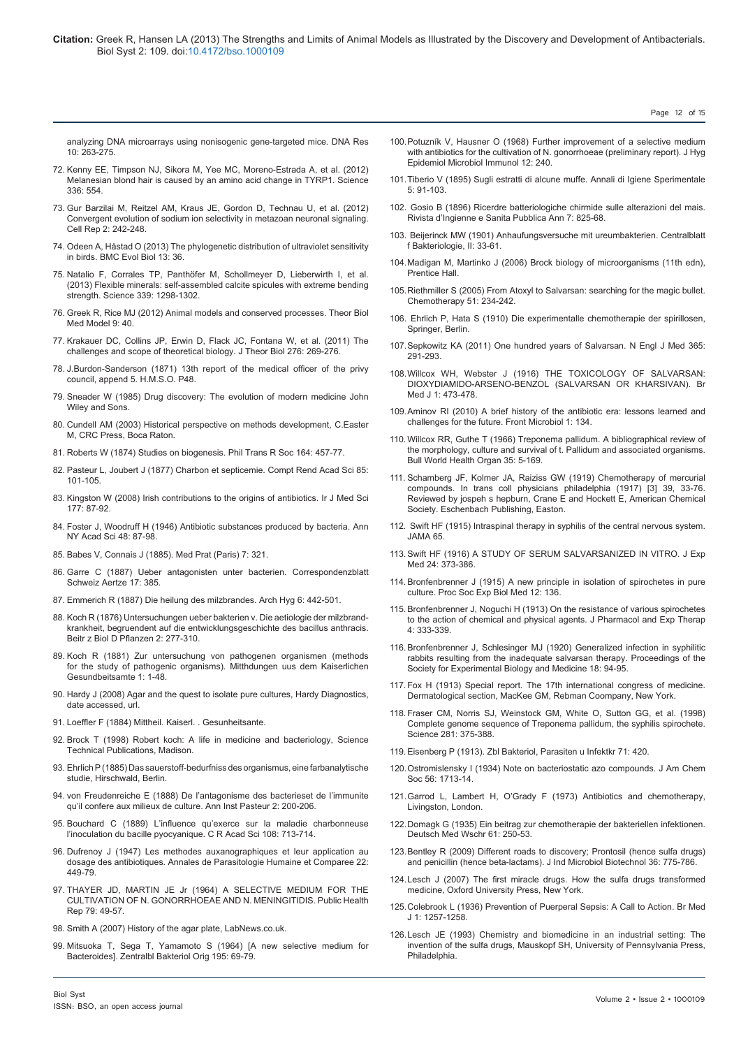[analyzing DNA microarrays using nonisogenic gene-targeted mice. DNA Res](http://www.ncbi.nlm.nih.gov/pubmed/15029957) [10: 263-275.](http://www.ncbi.nlm.nih.gov/pubmed/15029957)

- 72. [Kenny EE, Timpson NJ, Sikora M, Yee MC, Moreno-Estrada A, et al. \(2012\)](http://www.ncbi.nlm.nih.gov/pubmed/22556244) [Melanesian blond hair is caused by an amino acid change in TYRP1. Science](http://www.ncbi.nlm.nih.gov/pubmed/22556244) [336: 554.](http://www.ncbi.nlm.nih.gov/pubmed/22556244)
- 73. [Gur Barzilai M, Reitzel AM, Kraus JE, Gordon D, Technau U, et al. \(2012\)](http://www.ncbi.nlm.nih.gov/pubmed/22854023) [Convergent evolution of sodium ion selectivity in metazoan neuronal signaling.](http://www.ncbi.nlm.nih.gov/pubmed/22854023) [Cell Rep 2: 242-248.](http://www.ncbi.nlm.nih.gov/pubmed/22854023)
- 74. [Odeen A, Håstad O \(2013\) The phylogenetic distribution of ultraviolet sensitivity](http://www.ncbi.nlm.nih.gov/pubmed/23394614) [in birds. BMC Evol Biol 13: 36.](http://www.ncbi.nlm.nih.gov/pubmed/23394614)
- 75. [Natalio F, Corrales TP, Panthöfer M, Schollmeyer D, Lieberwirth I, et al.](http://www.ncbi.nlm.nih.gov/pubmed/23493708) [\(2013\) Flexible minerals: self-assembled calcite spicules with extreme bending](http://www.ncbi.nlm.nih.gov/pubmed/23493708) [strength. Science 339: 1298-1302.](http://www.ncbi.nlm.nih.gov/pubmed/23493708)
- 76. [Greek R, Rice MJ \(2012\) Animal models and conserved processes. Theor Biol](http://www.ncbi.nlm.nih.gov/pubmed/22963674) [Med Model 9: 40.](http://www.ncbi.nlm.nih.gov/pubmed/22963674)
- 77. [Krakauer DC, Collins JP, Erwin D, Flack JC, Fontana W, et al. \(2011\) The](http://www.ncbi.nlm.nih.gov/pubmed/21315730) [challenges and scope of theoretical biology. J Theor Biol 276: 269-276.](http://www.ncbi.nlm.nih.gov/pubmed/21315730)
- 78. J.Burdon-Sanderson (1871) 13th report of the medical officer of the privy council, append 5. H.M.S.O. P48.
- 79. [Sneader W \(1985\) Drug discovery: The evolution of modern medicine John](http://www.ebay.com.au/itm/Sneader-Walter-Drug-Discovery-Evolution-Modern-Medicine-A-Wiley-medic-/321023995435) [Wiley and Sons.](http://www.ebay.com.au/itm/Sneader-Walter-Drug-Discovery-Evolution-Modern-Medicine-A-Wiley-medic-/321023995435)
- 80. Cundell AM (2003) Historical perspective on methods development, C.Easter M, CRC Press, Boca Raton.
- 81. [Roberts W \(1874\) Studies on biogenesis. Phil Trans R Soc 164: 457-77](http://rstl.royalsocietypublishing.org/content/164/457.full.pdf+html).
- 82. Pasteur L, Joubert J (1877) Charbon et septicemie. Compt Rend Acad Sci 85: 101-105.
- 83. [Kingston W \(2008\) Irish contributions to the origins of antibiotics. Ir J Med Sci](http://www.ncbi.nlm.nih.gov/pubmed/18347757) [177: 87-92.](http://www.ncbi.nlm.nih.gov/pubmed/18347757)
- 84. [Foster J, Woodruff H \(1946\) Antibiotic substances produced by bacteria. Ann](http://onlinelibrary.wiley.com/doi/10.1111/j.1749-6632.2010.05887.x/abstract) [NY Acad Sci 48: 87-98.](http://onlinelibrary.wiley.com/doi/10.1111/j.1749-6632.2010.05887.x/abstract)
- 85. Babes V, Connais J (1885). Med Prat (Paris) 7: 321.
- 86. Garre C (1887) Ueber antagonisten unter bacterien. Correspondenzblatt Schweiz Aertze 17: 385.
- 87. Emmerich R (1887) Die heilung des milzbrandes. Arch Hyg 6: 442-501.
- 88. Koch R (1876) Untersuchungen ueber bakterien v. Die aetiologie der milzbrandkrankheit, begruendent auf die entwicklungsgeschichte des bacillus anthracis. Beitr z Biol D Pflanzen 2: 277-310.
- 89. Koch R (1881) Zur untersuchung von pathogenen organismen (methods for the study of pathogenic organisms). Mitthdungen uus dem Kaiserlichen Gesundbeitsamte 1: 1-48.
- 90. Hardy J (2008) Agar and the quest to isolate pure cultures, Hardy Diagnostics, date accessed, url.
- 91. Loeffler F (1884) Mittheil. Kaiserl. . Gesunheitsante.
- 92. [Brock T \(1998\) Robert koch: A life in medicine and bacteriology, Science](http://www.ncbi.nlm.nih.gov/pmc/articles/PMC1036160/) [Technical Publications, Madison.](http://www.ncbi.nlm.nih.gov/pmc/articles/PMC1036160/)
- 93. Ehrlich P (1885) Das sauerstoff-bedurfniss des organismus, eine farbanalytische studie, Hirschwald, Berlin.
- 94. von Freudenreiche E (1888) De l'antagonisme des bacterieset de l'immunite qu'il confere aux milieux de culture. Ann Inst Pasteur 2: 200-206.
- 95. Bouchard C (1889) L'influence qu'exerce sur la maladie charbonneuse l'inoculation du bacille pyocyanique. C R Acad Sci 108: 713-714.
- 96. Dufrenoy J (1947) Les methodes auxanographiques et leur application au dosage des antibiotiques. Annales de Parasitologie Humaine et Comparee 22: 449-79.
- 97. [THAYER JD, MARTIN JE Jr \(1964\) A SELECTIVE MEDIUM FOR THE](http://www.ncbi.nlm.nih.gov/pubmed/14105729) [CULTIVATION OF N. GONORRHOEAE AND N. MENINGITIDIS. Public Health](http://www.ncbi.nlm.nih.gov/pubmed/14105729) [Rep 79: 49-57.](http://www.ncbi.nlm.nih.gov/pubmed/14105729)
- 98. [Smith A \(2007\) History of the agar plate, LabNews.co.uk.](http://www.labnews.co.uk/features/history-of-the-agar-plate/)
- 99. [Mitsuoka T, Sega T, Yamamoto S \(1964\) \[A new selective medium for](http://www.ncbi.nlm.nih.gov/pubmed/5831893) [Bacteroides\]. Zentralbl Bakteriol Orig 195: 69-79.](http://www.ncbi.nlm.nih.gov/pubmed/5831893)

100.[Potuzník V, Hausner O \(1968\) Further improvement of a selective medium](http://www.ncbi.nlm.nih.gov/pubmed/4975925)  [with antibiotics for the cultivation of N. gonorrhoeae \(preliminary report\). J Hyg](http://www.ncbi.nlm.nih.gov/pubmed/4975925)  [Epidemiol Microbiol Immunol 12: 240.](http://www.ncbi.nlm.nih.gov/pubmed/4975925)

Page 12 of 15

- 101.Tiberio V (1895) Sugli estratti di alcune muffe. Annali di Igiene Sperimentale  $5.91-103$
- 102. Gosio B (1896) Ricerdre batteriologiche chirmide sulle alterazioni del mais. Rivista d'Ingienne e Sanita Pubblica Ann 7: 825-68.
- 103. Beijerinck MW (1901) Anhaufungsversuche mit ureumbakterien. Centralblatt f Bakteriologie, II: 33-61.
- 104.[Madigan M, Martinko J \(2006\) Brock biology of microorganisms \(11th edn\),](http://www.amazon.com/Brock-Biology-Of-Microorganisms-11th/dp/B0028IGIJE)  [Prentice Hall.](http://www.amazon.com/Brock-Biology-Of-Microorganisms-11th/dp/B0028IGIJE)
- 105.[Riethmiller S \(2005\) From Atoxyl to Salvarsan: searching for the magic bullet.](http://www.ncbi.nlm.nih.gov/pubmed/16103665)  [Chemotherapy 51: 234-242.](http://www.ncbi.nlm.nih.gov/pubmed/16103665)
- 106. Ehrlich P, Hata S (1910) Die experimentalle chemotherapie der spirillosen, Springer, Berlin.
- 107.[Sepkowitz KA \(2011\) One hundred years of Salvarsan. N Engl J Med 365:](http://www.ncbi.nlm.nih.gov/pubmed/21793743)  [291-293.](http://www.ncbi.nlm.nih.gov/pubmed/21793743)
- 108.[Willcox WH, Webster J \(1916\) THE TOXICOLOGY OF SALVARSAN:](http://www.ncbi.nlm.nih.gov/pubmed/20768069)  [DIOXYDIAMIDO-ARSENO-BENZOL \(SALVARSAN OR KHARSIVAN\). Br](http://www.ncbi.nlm.nih.gov/pubmed/20768069)  Med J 1: 473-478
- 109.[Aminov RI \(2010\) A brief history of the antibiotic era: lessons learned and](http://www.ncbi.nlm.nih.gov/pubmed/21687759)  [challenges for the future. Front Microbiol 1: 134.](http://www.ncbi.nlm.nih.gov/pubmed/21687759)
- 110.[Willcox RR, Guthe T \(1966\) Treponema pallidum. A bibliographical review of](http://www.ncbi.nlm.nih.gov/pmc/articles/PMC2476063/)  [the morphology, culture and survival of t. Pallidum and associated organisms.](http://www.ncbi.nlm.nih.gov/pmc/articles/PMC2476063/)  [Bull World Health Organ 35: 5-169.](http://www.ncbi.nlm.nih.gov/pmc/articles/PMC2476063/)
- 111. Schamberg JF, Kolmer JA, Raiziss GW (1919) Chemotherapy of mercurial compounds. In trans coll physicians philadelphia (1917) [3] 39, 33-76. Reviewed by jospeh s hepburn, Crane E and Hockett E, American Chemical Society. Eschenbach Publishing, Easton.
- 112. [Swift HF \(1915\) Intraspinal therapy in syphilis of the central nervous system.](http://jama.jamanetwork.com/article.aspx?articleid=446044)  JAMA 65
- 113.[Swift HF \(1916\) A STUDY OF SERUM SALVARSANIZED IN VITRO. J Exp](http://www.ncbi.nlm.nih.gov/pubmed/19868049)  Med 24: 373-386
- 114.[Bronfenbrenner J \(1915\) A new principle in isolation of spirochetes in pure](http://ebm.rsmjournals.com/content/12/6/136.extract?related-urls=yes&legid=rsmebm;12/6/136)  [culture. Proc Soc Exp Biol Med 12: 136.](http://ebm.rsmjournals.com/content/12/6/136.extract?related-urls=yes&legid=rsmebm;12/6/136)
- 115.Bronfenbrenner J, Noguchi H (1913) On the resistance of various spirochetes to the action of chemical and physical agents. J Pharmacol and Exp Therap 4: 333-339.
- 116.[Bronfenbrenner J, Schlesinger MJ \(1920\) Generalized infection in syphilitic](http://ebm.rsmjournals.com/content/18/3/94.extract)  [rabbits resulting from the inadequate salvarsan therapy. Proceedings of the](http://ebm.rsmjournals.com/content/18/3/94.extract)  [Society for Experimental Biology and Medicine 18: 94-95.](http://ebm.rsmjournals.com/content/18/3/94.extract)
- 117. Fox H (1913) Special report. The 17th international congress of medicine. Dermatological section, MacKee GM, Rebman Coompany, New York.
- 118. [Fraser CM, Norris SJ, Weinstock GM, White O, Sutton GG, et al. \(1998\)](http://www.ncbi.nlm.nih.gov/pubmed/9665876)  [Complete genome sequence of Treponema pallidum, the syphilis spirochete.](http://www.ncbi.nlm.nih.gov/pubmed/9665876)  [Science 281: 375-388.](http://www.ncbi.nlm.nih.gov/pubmed/9665876)
- 119.Eisenberg P (1913). Zbl Bakteriol, Parasiten u Infektkr 71: 420.
- 120.[Ostromislensky I \(1934\) Note on bacteriostatic azo compounds. J Am Chem](http://pubs.acs.org/doi/abs/10.1021/ja01323a019)  [Soc 56: 1713-14.](http://pubs.acs.org/doi/abs/10.1021/ja01323a019)
- 121.[Garrod L, Lambert H, O'Grady F \(1973\) Antibiotics and chemotherapy,](http://www.karger.com/BookSeries/Home/223879)  [Livingston, London.](http://www.karger.com/BookSeries/Home/223879)
- 122.Domagk G (1935) Ein beitrag zur chemotherapie der bakteriellen infektionen. Deutsch Med Wschr 61: 250-53.
- 123.[Bentley R \(2009\) Different roads to discovery; Prontosil \(hence sulfa drugs\)](http://www.ncbi.nlm.nih.gov/pubmed/19283418)  [and penicillin \(hence beta-lactams\). J Ind Microbiol Biotechnol 36: 775-786.](http://www.ncbi.nlm.nih.gov/pubmed/19283418)
- 124.[Lesch J \(2007\) The first miracle drugs. How the sulfa drugs transformed](http://www.amazon.com/First-Miracle-Drugs-Transformed-Medicine/dp/019518775X)  [medicine, Oxford University Press, New York.](http://www.amazon.com/First-Miracle-Drugs-Transformed-Medicine/dp/019518775X)
- 125.[Colebrook L \(1936\) Prevention of Puerperal Sepsis: A Call to Action. Br Med](http://www.ncbi.nlm.nih.gov/pubmed/20779917)  [J 1: 1257-1258.](http://www.ncbi.nlm.nih.gov/pubmed/20779917)
- 126.[Lesch JE \(1993\) Chemistry and biomedicine in an industrial setting: The](http://130.203.133.150/showciting;jsessionid=187EAD5EA5DEA4D39B8083423117A11F?cid=8931411)  [invention of the sulfa drugs, Mauskopf SH, University of Pennsylvania Press,](http://130.203.133.150/showciting;jsessionid=187EAD5EA5DEA4D39B8083423117A11F?cid=8931411)  **Philadelphia**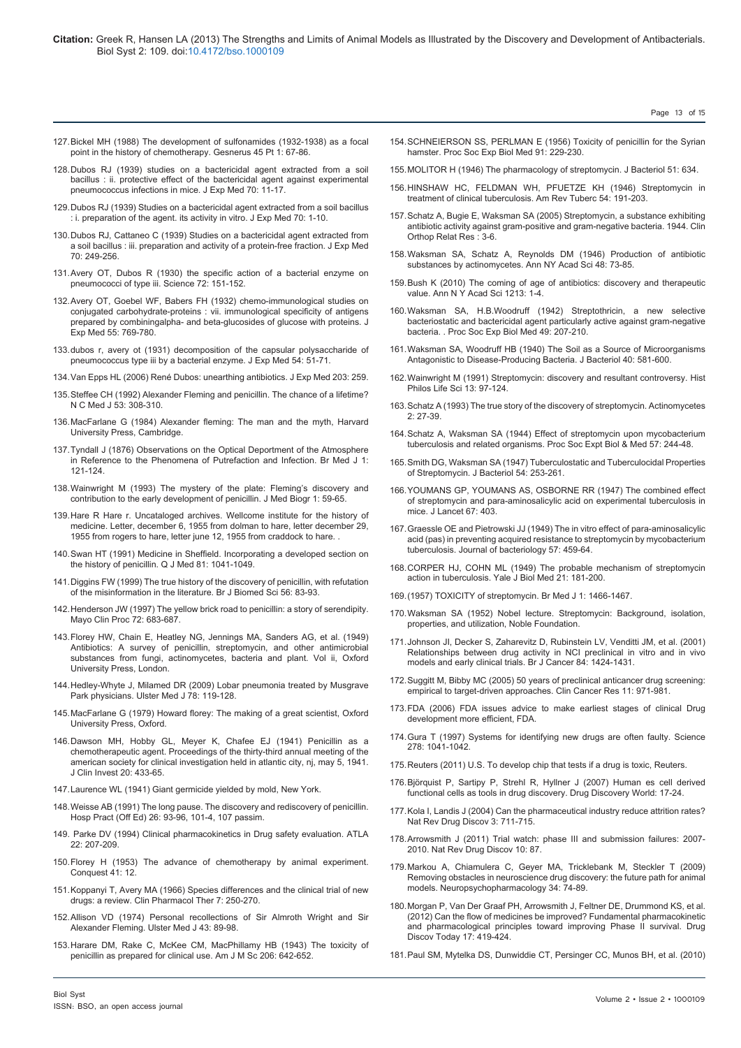127.[Bickel MH \(1988\) The development of sulfonamides \(1932-1938\) as a focal](http://www.ncbi.nlm.nih.gov/pubmed/3042521) [point in the history of chemotherapy. Gesnerus 45 Pt 1: 67-86.](http://www.ncbi.nlm.nih.gov/pubmed/3042521)

128.[Dubos RJ \(1939\) studies on a bactericidal agent extracted from a soil](http://www.ncbi.nlm.nih.gov/pubmed/19870886) [bacillus : ii. protective effect of the bactericidal agent against experimental](http://www.ncbi.nlm.nih.gov/pubmed/19870886) [pneumococcus infections in mice. J Exp Med 70: 11-17.](http://www.ncbi.nlm.nih.gov/pubmed/19870886)

- 129.[Dubos RJ \(1939\) Studies on a bactericidal agent extracted from a soil bacillus](http://www.ncbi.nlm.nih.gov/pubmed/19870884) [: i. preparation of the agent. its activity in vitro. J Exp Med 70: 1-10.](http://www.ncbi.nlm.nih.gov/pubmed/19870884)
- 130.[Dubos RJ, Cattaneo C \(1939\) Studies on a bactericidal agent extracted from](http://www.ncbi.nlm.nih.gov/pubmed/19870906) [a soil bacillus : iii. preparation and activity of a protein-free fraction. J Exp Med](http://www.ncbi.nlm.nih.gov/pubmed/19870906) [70: 249-256.](http://www.ncbi.nlm.nih.gov/pubmed/19870906)
- 131.[Avery OT, Dubos R \(1930\) the specific action of a bacterial enzyme on](http://www.ncbi.nlm.nih.gov/pubmed/17838541) [pneumococci of type iii. Science 72: 151-152.](http://www.ncbi.nlm.nih.gov/pubmed/17838541)
- 132.[Avery OT, Goebel WF, Babers FH \(1932\) chemo-immunological studies on](http://www.ncbi.nlm.nih.gov/pubmed/19870029) [conjugated carbohydrate-proteins : vii. immunological specificity of antigens](http://www.ncbi.nlm.nih.gov/pubmed/19870029) [prepared by combiningalpha- and beta-glucosides of glucose with proteins. J](http://www.ncbi.nlm.nih.gov/pubmed/19870029) [Exp Med 55: 769-780.](http://www.ncbi.nlm.nih.gov/pubmed/19870029)
- 133.[dubos r, avery ot \(1931\) decomposition of the capsular polysaccharide of](http://www.ncbi.nlm.nih.gov/pubmed/19869902) [pneumococcus type iii by a bacterial enzyme. J Exp Med 54: 51-71.](http://www.ncbi.nlm.nih.gov/pubmed/19869902)
- 134.[Van Epps HL \(2006\) René Dubos: unearthing antibiotics. J Exp Med 203: 259.](http://www.ncbi.nlm.nih.gov/pubmed/16528813)
- 135.[Steffee CH \(1992\) Alexander Fleming and penicillin. The chance of a lifetime?](http://www.ncbi.nlm.nih.gov/pubmed/1614562) [N C Med J 53: 308-310.](http://www.ncbi.nlm.nih.gov/pubmed/1614562)
- 136.[MacFarlane G \(1984\) Alexander fleming: The man and the myth, Harvard](http://www.ncbi.nlm.nih.gov/pmc/articles/PMC1140036/) [University Press, Cambridge.](http://www.ncbi.nlm.nih.gov/pmc/articles/PMC1140036/)
- 137.[Tyndall J \(1876\) Observations on the Optical Deportment of the Atmosphere](http://www.ncbi.nlm.nih.gov/pubmed/20748092) [in Reference to the Phenomena of Putrefaction and Infection. Br Med J 1:](http://www.ncbi.nlm.nih.gov/pubmed/20748092) [121-124.](http://www.ncbi.nlm.nih.gov/pubmed/20748092)
- 138.[Wainwright M \(1993\) The mystery of the plate: Fleming's discovery and](http://www.ncbi.nlm.nih.gov/pubmed/11639213) [contribution to the early development of penicillin. J Med Biogr 1: 59-65.](http://www.ncbi.nlm.nih.gov/pubmed/11639213)
- 139.Hare R Hare r. Uncataloged archives. Wellcome institute for the history of medicine. Letter, december 6, 1955 from dolman to hare, letter december 29, 1955 from rogers to hare, letter june 12, 1955 from craddock to hare. .
- 140.[Swan HT \(1991\) Medicine in Sheffield. Incorporating a developed section on](http://www.ncbi.nlm.nih.gov/pubmed/1808639) [the history of penicillin. Q J Med 81: 1041-1049.](http://www.ncbi.nlm.nih.gov/pubmed/1808639)
- 141.[Diggins FW \(1999\) The true history of the discovery of penicillin, with refutation](http://www.ncbi.nlm.nih.gov/pubmed/10695047) [of the misinformation in the literature. Br J Biomed Sci 56: 83-93.](http://www.ncbi.nlm.nih.gov/pubmed/10695047)
- 142.[Henderson JW \(1997\) The yellow brick road to penicillin: a story of serendipity.](http://www.ncbi.nlm.nih.gov/pubmed/9212774) [Mayo Clin Proc 72: 683-687.](http://www.ncbi.nlm.nih.gov/pubmed/9212774)
- 143.[Florey HW, Chain E, Heatley NG, Jennings MA, Sanders AG, et al. \(1949\)](http://jama.jamanetwork.com/article.aspx?articleid=294336) [Antibiotics: A survey of penicillin, streptomycin, and other antimicrobial](http://jama.jamanetwork.com/article.aspx?articleid=294336) [substances from fungi, actinomycetes, bacteria and plant. Vol ii, Oxford](http://jama.jamanetwork.com/article.aspx?articleid=294336) [University Press, London.](http://jama.jamanetwork.com/article.aspx?articleid=294336)
- 144.[Hedley-Whyte J, Milamed DR \(2009\) Lobar pneumonia treated by Musgrave](http://www.ncbi.nlm.nih.gov/pubmed/19568449) [Park physicians. Ulster Med J 78: 119-128.](http://www.ncbi.nlm.nih.gov/pubmed/19568449)
- 145.[MacFarlane G \(1979\) Howard florey: The making of a great scientist, Oxford](http://books.google.co.in/books/about/Howard_Florey.html?id=vv3aAAAAMAAJ&redir_esc=y) [University Press, Oxford.](http://books.google.co.in/books/about/Howard_Florey.html?id=vv3aAAAAMAAJ&redir_esc=y)
- 146.[Dawson MH, Hobby GL, Meyer K, Chafee EJ \(1941\) Penicillin as a](http://annals.org/article.aspx?articleid=672851) [chemotherapeutic agent. Proceedings of the thirty-third annual meeting of the](http://annals.org/article.aspx?articleid=672851) [american society for clinical investigation held in atlantic city, nj, may 5, 1941.](http://annals.org/article.aspx?articleid=672851) [J Clin Invest 20: 433-65.](http://annals.org/article.aspx?articleid=672851)
- 147.[Laurence WL \(1941\) Giant germicide yielded by mold, New York.](http://books.google.co.in/books?id=6eOlhNkjXaAC&pg=PA111&lpg=PA111&dq=Giant+germicide+yielded+by+mold&source=bl&ots=sy6oaXx-Z3&sig=tE3wAK4HQ4_9zOG6lUBU-vnmGGU&hl=en&sa=X&ei=3ql6Ua-FGsf5rAfOvoG4Bg&ved=0CC4Q6AEwAA#v=onepage&q=Giant germicide yielded by)
- 148.[Weisse AB \(1991\) The long pause. The discovery and rediscovery of penicillin.](http://www.ncbi.nlm.nih.gov/pubmed/1869613) [Hosp Pract \(Off Ed\) 26: 93-96, 101-4, 107 passim.](http://www.ncbi.nlm.nih.gov/pubmed/1869613)
- 149. [Parke DV \(1994\) Clinical pharmacokinetics in Drug safety evaluation. ATLA](http://openagricola.nal.usda.gov/Record/IND20499477) [22: 207-209.](http://openagricola.nal.usda.gov/Record/IND20499477)
- 150.Florey H (1953) The advance of chemotherapy by animal experiment. Conquest 41: 12.
- 151.[Koppanyi T, Avery MA \(1966\) Species differences and the clinical trial of new](http://www.ncbi.nlm.nih.gov/pubmed/5327179) [drugs: a review. Clin Pharmacol Ther 7: 250-270.](http://www.ncbi.nlm.nih.gov/pubmed/5327179)
- 152.[Allison VD \(1974\) Personal recollections of Sir Almroth Wright and Sir](http://www.ncbi.nlm.nih.gov/pubmed/4612919) [Alexander Fleming. Ulster Med J 43: 89-98.](http://www.ncbi.nlm.nih.gov/pubmed/4612919)
- 153.[Harare DM, Rake C, McKee CM, MacPhillamy HB \(1943\) The toxicity of](http://journals.lww.com/amjmedsci/Citation/1943/11000/The_Toxicity_of_Penicillin_As_Prepared_for.11.aspx) [penicillin as prepared for clinical use. Am J M Sc 206: 642-652.](http://journals.lww.com/amjmedsci/Citation/1943/11000/The_Toxicity_of_Penicillin_As_Prepared_for.11.aspx)

154.[SCHNEIERSON SS, PERLMAN E \(1956\) Toxicity of penicillin for the Syrian](http://www.ncbi.nlm.nih.gov/pubmed/13297761)  [hamster. Proc Soc Exp Biol Med 91: 229-230.](http://www.ncbi.nlm.nih.gov/pubmed/13297761)

Page 13 of 15

- 155.[MOLITOR H \(1946\) The pharmacology of streptomycin. J Bacteriol 51: 634.](http://www.ncbi.nlm.nih.gov/pubmed/21064750)
- 156.[HINSHAW HC, FELDMAN WH, PFUETZE KH \(1946\) Streptomycin in](http://www.ncbi.nlm.nih.gov/pubmed/20274624)  [treatment of clinical tuberculosis. Am Rev Tuberc 54: 191-203.](http://www.ncbi.nlm.nih.gov/pubmed/20274624)
- 157.[Schatz A, Bugie E, Waksman SA \(2005\) Streptomycin, a substance exhibiting](http://www.ncbi.nlm.nih.gov/pubmed/16056018)  [antibiotic activity against gram-positive and gram-negative bacteria. 1944. Clin](http://www.ncbi.nlm.nih.gov/pubmed/16056018)  [Orthop Relat Res : 3-6.](http://www.ncbi.nlm.nih.gov/pubmed/16056018)
- 158.[Waksman SA, Schatz A, Reynolds DM \(1946\) Production of antibiotic](http://onlinelibrary.wiley.com/doi/10.1111/j.1749-6632.2010.05861.x/abstract)  [substances by actinomycetes. Ann NY Acad Sci 48: 73-85.](http://onlinelibrary.wiley.com/doi/10.1111/j.1749-6632.2010.05861.x/abstract)
- 159.[Bush K \(2010\) The coming of age of antibiotics: discovery and therapeutic](http://www.ncbi.nlm.nih.gov/pubmed/21175674)  [value. Ann N Y Acad Sci 1213: 1-4.](http://www.ncbi.nlm.nih.gov/pubmed/21175674)
- 160.[Waksman SA, H.B.Woodruff \(1942\) Streptothricin, a new selective](http://ebm.rsmjournals.com/content/49/2/207.abstract)  [bacteriostatic and bactericidal agent particularly active against gram-negative](http://ebm.rsmjournals.com/content/49/2/207.abstract)  [bacteria. . Proc Soc Exp Biol Med 49: 207-210.](http://ebm.rsmjournals.com/content/49/2/207.abstract)
- 161.[Waksman SA, Woodruff HB \(1940\) The Soil as a Source of Microorganisms](http://www.ncbi.nlm.nih.gov/pubmed/16560371)  [Antagonistic to Disease-Producing Bacteria. J Bacteriol 40: 581-600.](http://www.ncbi.nlm.nih.gov/pubmed/16560371)
- 162.[Wainwright M \(1991\) Streptomycin: discovery and resultant controversy. Hist](http://www.ncbi.nlm.nih.gov/pubmed/1882032)  [Philos Life Sci 13: 97-124.](http://www.ncbi.nlm.nih.gov/pubmed/1882032)
- 163.[Schatz A \(1993\) The true story of the discovery of streptomycin. Actinomycetes](http://www.albertschatzphd.com/?cat=articles&subcat=streptomycin&itemnum=001)  [2: 27-39.](http://www.albertschatzphd.com/?cat=articles&subcat=streptomycin&itemnum=001)
- 164.[Schatz A, Waksman SA \(1944\) Effect of streptomycin upon mycobacterium](http://ebm.rsmjournals.com/content/57/2/244.abstract)  [tuberculosis and related organisms. Proc Soc Expt Biol & Med 57: 244-48.](http://ebm.rsmjournals.com/content/57/2/244.abstract)
- 165.[Smith DG, Waksman SA \(1947\) Tuberculostatic and Tuberculocidal Properties](http://www.ncbi.nlm.nih.gov/pubmed/16561356)  [of Streptomycin. J Bacteriol 54: 253-261.](http://www.ncbi.nlm.nih.gov/pubmed/16561356)
- 166.[YOUMANS GP, YOUMANS AS, OSBORNE RR \(1947\) The combined effect](http://www.ncbi.nlm.nih.gov/pubmed/20269417)  [of streptomycin and para-aminosalicylic acid on experimental tuberculosis in](http://www.ncbi.nlm.nih.gov/pubmed/20269417)  [mice. J Lancet 67: 403.](http://www.ncbi.nlm.nih.gov/pubmed/20269417)
- 167.[Graessle OE and Pietrowski JJ \(1949\) The in vitro effect of para-aminosalicylic](http://www.ncbi.nlm.nih.gov/pmc/articles/PMC385542/)  [acid \(pas\) in preventing acquired resistance to streptomycin by mycobacterium](http://www.ncbi.nlm.nih.gov/pmc/articles/PMC385542/)  [tuberculosis. Journal of bacteriology 57: 459-64.](http://www.ncbi.nlm.nih.gov/pmc/articles/PMC385542/)
- 168.[CORPER HJ, COHN ML \(1949\) The probable mechanism of streptomycin](http://www.ncbi.nlm.nih.gov/pubmed/18109883)  [action in tuberculosis. Yale J Biol Med 21: 181-200.](http://www.ncbi.nlm.nih.gov/pubmed/18109883)
- 169.[\(1957\) TOXICITY of streptomycin. Br Med J 1: 1466-1467.](http://www.ncbi.nlm.nih.gov/pubmed/13436825)
- 170.[Waksman SA \(1952\) Nobel lecture. Streptomycin: Background, isolation,](http://www.nobelprize.org/nobel_prizes/medicine/laureates/1952/waksman-lecture.html)  [properties, and utilization, Noble Foundation.](http://www.nobelprize.org/nobel_prizes/medicine/laureates/1952/waksman-lecture.html)
- 171.[Johnson JI, Decker S, Zaharevitz D, Rubinstein LV, Venditti JM, et al. \(2001\)](http://www.ncbi.nlm.nih.gov/pubmed/11355958)  [Relationships between drug activity in NCI preclinical in vitro and in vivo](http://www.ncbi.nlm.nih.gov/pubmed/11355958)  [models and early clinical trials. Br J Cancer 84: 1424-1431.](http://www.ncbi.nlm.nih.gov/pubmed/11355958)
- 172.[Suggitt M, Bibby MC \(2005\) 50 years of preclinical anticancer drug screening:](http://www.ncbi.nlm.nih.gov/pubmed/15709162)  [empirical to target-driven approaches. Clin Cancer Res 11: 971-981.](http://www.ncbi.nlm.nih.gov/pubmed/15709162)
- 173.[FDA \(2006\) FDA issues advice to make earliest stages of clinical Drug](http://www.fda.gov/NewsEvents/Newsroom/PressAnnouncements/2006/ucm108576.htm)  [development more efficient, FDA.](http://www.fda.gov/NewsEvents/Newsroom/PressAnnouncements/2006/ucm108576.htm)
- 174.[Gura T \(1997\) Systems for identifying new drugs are often faulty. Science](http://www.ncbi.nlm.nih.gov/pubmed/9381203)  [278: 1041-1042.](http://www.ncbi.nlm.nih.gov/pubmed/9381203)
- 175.[Reuters \(2011\) U.S. To develop chip that tests if a drug is toxic, Reuters.](http://www.reuters.com/article/2011/09/16/us-drugs-chip-idUSTRE78F5KX20110916)
- 176.[Björquist P, Sartipy P, Strehl R, Hyllner J \(2007\) Human es cell derived](http://www.ddw-online.com/therapeutics/p92860-human es cell derived functional cells as tools in drug discovery.  winter 2007.html)  [functional cells as tools in drug discovery. Drug Discovery World: 17-24.](http://www.ddw-online.com/therapeutics/p92860-human es cell derived functional cells as tools in drug discovery.   winter 2007.html)
- 177.[Kola I, Landis J \(2004\) Can the pharmaceutical industry reduce attrition rates?](http://www.ncbi.nlm.nih.gov/pubmed/15286737)  [Nat Rev Drug Discov 3: 711-715.](http://www.ncbi.nlm.nih.gov/pubmed/15286737)
- 178.[Arrowsmith J \(2011\) Trial watch: phase III and submission failures: 2007-](http://www.ncbi.nlm.nih.gov/pubmed/21283095) [2010. Nat Rev Drug Discov 10: 87.](http://www.ncbi.nlm.nih.gov/pubmed/21283095)
- 179.[Markou A, Chiamulera C, Geyer MA, Tricklebank M, Steckler T \(2009\)](http://www.ncbi.nlm.nih.gov/pubmed/18830240)  [Removing obstacles in neuroscience drug discovery: the future path for animal](http://www.ncbi.nlm.nih.gov/pubmed/18830240)  [models. Neuropsychopharmacology 34: 74-89.](http://www.ncbi.nlm.nih.gov/pubmed/18830240)
- 180.[Morgan P, Van Der Graaf PH, Arrowsmith J, Feltner DE, Drummond KS, et al.](http://www.ncbi.nlm.nih.gov/pubmed/22227532)  [\(2012\) Can the flow of medicines be improved? Fundamental pharmacokinetic](http://www.ncbi.nlm.nih.gov/pubmed/22227532)  [and pharmacological principles toward improving Phase II survival. Drug](http://www.ncbi.nlm.nih.gov/pubmed/22227532)  [Discov Today 17: 419-424.](http://www.ncbi.nlm.nih.gov/pubmed/22227532)
- 181.[Paul SM, Mytelka DS, Dunwiddie CT, Persinger CC, Munos BH, et al. \(2010\)](http://www.ncbi.nlm.nih.gov/pubmed/20168317)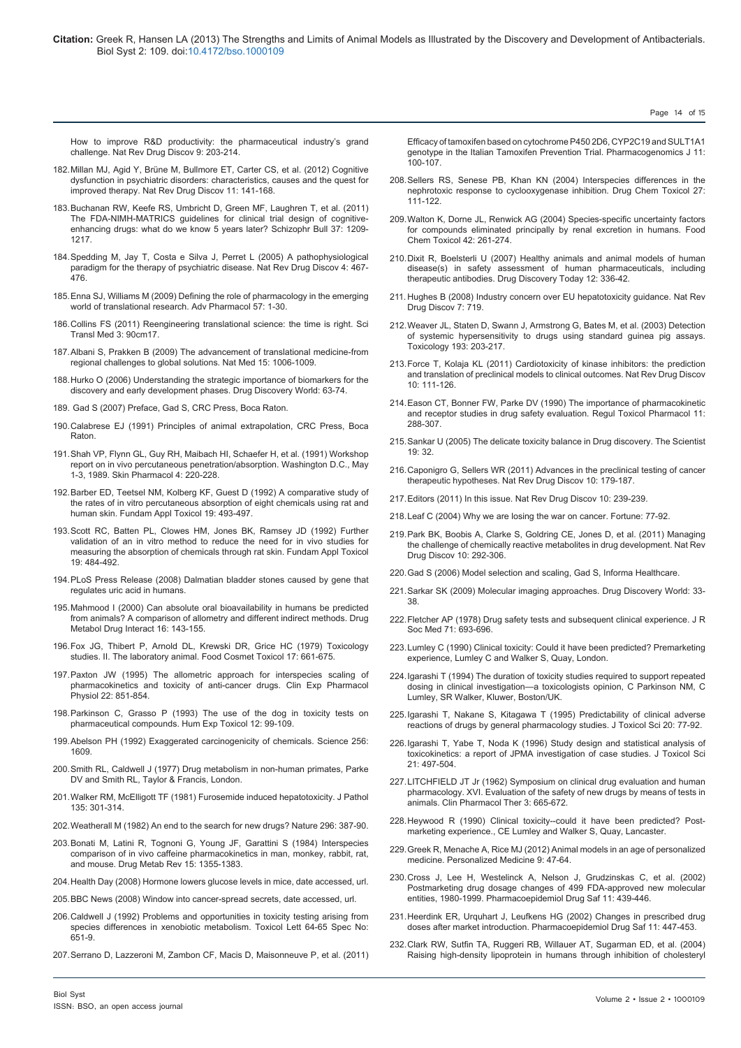[How to improve R&D productivity: the pharmaceutical industry's grand](http://www.ncbi.nlm.nih.gov/pubmed/20168317) [challenge. Nat Rev Drug Discov 9: 203-214.](http://www.ncbi.nlm.nih.gov/pubmed/20168317)

- 182.[Millan MJ, Agid Y, Brüne M, Bullmore ET, Carter CS, et al. \(2012\) Cognitive](http://www.ncbi.nlm.nih.gov/pubmed/22293568) [dysfunction in psychiatric disorders: characteristics, causes and the quest for](http://www.ncbi.nlm.nih.gov/pubmed/22293568) [improved therapy. Nat Rev Drug Discov 11: 141-168.](http://www.ncbi.nlm.nih.gov/pubmed/22293568)
- 183.[Buchanan RW, Keefe RS, Umbricht D, Green MF, Laughren T, et al. \(2011\)](http://www.ncbi.nlm.nih.gov/pubmed/20410237) [The FDA-NIMH-MATRICS guidelines for clinical trial design of cognitive](http://www.ncbi.nlm.nih.gov/pubmed/20410237)[enhancing drugs: what do we know 5 years later? Schizophr Bull 37: 1209-](http://www.ncbi.nlm.nih.gov/pubmed/20410237) [1217.](http://www.ncbi.nlm.nih.gov/pubmed/20410237)
- 184.[Spedding M, Jay T, Costa e Silva J, Perret L \(2005\) A pathophysiological](http://www.ncbi.nlm.nih.gov/pubmed/15931256) [paradigm for the therapy of psychiatric disease. Nat Rev Drug Discov 4: 467-](http://www.ncbi.nlm.nih.gov/pubmed/15931256) [476.](http://www.ncbi.nlm.nih.gov/pubmed/15931256)
- 185.[Enna SJ, Williams M \(2009\) Defining the role of pharmacology in the emerging](http://www.ncbi.nlm.nih.gov/pubmed/20230758) [world of translational research. Adv Pharmacol 57: 1-30.](http://www.ncbi.nlm.nih.gov/pubmed/20230758)
- 186.[Collins FS \(2011\) Reengineering translational science: the time is right. Sci](http://www.ncbi.nlm.nih.gov/pubmed/21734173) [Transl Med 3: 90cm17.](http://www.ncbi.nlm.nih.gov/pubmed/21734173)
- 187.[Albani S, Prakken B \(2009\) The advancement of translational medicine-from](http://www.ncbi.nlm.nih.gov/pubmed/19734876) [regional challenges to global solutions. Nat Med 15: 1006-1009.](http://www.ncbi.nlm.nih.gov/pubmed/19734876)
- 188.Hurko O (2006) Understanding the strategic importance of biomarkers for the discovery and early development phases. Drug Discovery World: 63-74.
- 189. Gad S (2007) Preface, Gad S, CRC Press, Boca Raton.
- 190.[Calabrese EJ \(1991\) Principles of animal extrapolation, CRC Press, Boca](http://www.amazon.com/Principles-Animal-Extrapolation-Edward-Calabrese/dp/0873714105) **Raton**
- 191.[Shah VP, Flynn GL, Guy RH, Maibach HI, Schaefer H, et al. \(1991\) Workshop](http://www.ncbi.nlm.nih.gov/pubmed/1685087) [report on in vivo percutaneous penetration/absorption. Washington D.C., May](http://www.ncbi.nlm.nih.gov/pubmed/1685087) [1-3, 1989. Skin Pharmacol 4: 220-228.](http://www.ncbi.nlm.nih.gov/pubmed/1685087)
- 192.[Barber ED, Teetsel NM, Kolberg KF, Guest D \(1992\) A comparative study of](http://www.ncbi.nlm.nih.gov/pubmed/1426706) [the rates of in vitro percutaneous absorption of eight chemicals using rat and](http://www.ncbi.nlm.nih.gov/pubmed/1426706) [human skin. Fundam Appl Toxicol 19: 493-497.](http://www.ncbi.nlm.nih.gov/pubmed/1426706)
- 193.[Scott RC, Batten PL, Clowes HM, Jones BK, Ramsey JD \(1992\) Further](http://www.ncbi.nlm.nih.gov/pubmed/1426705) [validation of an in vitro method to reduce the need for in vivo studies for](http://www.ncbi.nlm.nih.gov/pubmed/1426705) [measuring the absorption of chemicals through rat skin. Fundam Appl Toxicol](http://www.ncbi.nlm.nih.gov/pubmed/1426705) [19: 484-492.](http://www.ncbi.nlm.nih.gov/pubmed/1426705)
- 194.[PLoS Press Release \(2008\) Dalmatian bladder stones caused by gene that](http://www.news.ucdavis.edu/search/news_detail.lasso?id=8853) [regulates uric acid in humans.](http://www.news.ucdavis.edu/search/news_detail.lasso?id=8853)
- 195.[Mahmood I \(2000\) Can absolute oral bioavailability in humans be predicted](http://www.ncbi.nlm.nih.gov/pubmed/10962646) [from animals? A comparison of allometry and different indirect methods. Drug](http://www.ncbi.nlm.nih.gov/pubmed/10962646) [Metabol Drug Interact 16: 143-155.](http://www.ncbi.nlm.nih.gov/pubmed/10962646)
- 196.[Fox JG, Thibert P, Arnold DL, Krewski DR, Grice HC \(1979\) Toxicology](http://www.ncbi.nlm.nih.gov/pubmed/546701) [studies. II. The laboratory animal. Food Cosmet Toxicol 17: 661-675.](http://www.ncbi.nlm.nih.gov/pubmed/546701)
- 197.[Paxton JW \(1995\) The allometric approach for interspecies scaling of](http://www.ncbi.nlm.nih.gov/pubmed/8593743) [pharmacokinetics and toxicity of anti-cancer drugs. Clin Exp Pharmacol](http://www.ncbi.nlm.nih.gov/pubmed/8593743) [Physiol 22: 851-854.](http://www.ncbi.nlm.nih.gov/pubmed/8593743)
- 198.[Parkinson C, Grasso P \(1993\) The use of the dog in toxicity tests on](http://www.ncbi.nlm.nih.gov/pubmed/8096722) [pharmaceutical compounds. Hum Exp Toxicol 12: 99-109.](http://www.ncbi.nlm.nih.gov/pubmed/8096722)
- 199.[Abelson PH \(1992\) Exaggerated carcinogenicity of chemicals. Science 256:](http://www.ncbi.nlm.nih.gov/pubmed/1609271) [1609.](http://www.ncbi.nlm.nih.gov/pubmed/1609271)
- 200.Smith RL, Caldwell J (1977) Drug metabolism in non-human primates, Parke DV and Smith RL, Taylor & Francis, London.
- 201.[Walker RM, McElligott TF \(1981\) Furosemide induced hepatotoxicity. J Pathol](http://www.ncbi.nlm.nih.gov/pubmed/7328448) [135: 301-314.](http://www.ncbi.nlm.nih.gov/pubmed/7328448)
- 202.Weatherall M (1982) An end to the search for new drugs? Nature 296: 387-90.
- 203.[Bonati M, Latini R, Tognoni G, Young JF, Garattini S \(1984\) Interspecies](http://www.ncbi.nlm.nih.gov/pubmed/6543526) [comparison of in vivo caffeine pharmacokinetics in man, monkey, rabbit, rat,](http://www.ncbi.nlm.nih.gov/pubmed/6543526) [and mouse. Drug Metab Rev 15: 1355-1383.](http://www.ncbi.nlm.nih.gov/pubmed/6543526)
- 204.Health Day (2008) Hormone lowers glucose levels in mice, date accessed, url.
- 205.BBC News (2008) Window into cancer-spread secrets, date accessed, url.
- 206.Caldwell J (1992) Problems and opportunities in toxicity testing arising from species differences in xenobiotic metabolism. Toxicol Lett 64-65 Spec No: 651-9.
- 207.[Serrano D, Lazzeroni M, Zambon CF, Macis D, Maisonneuve P, et al. \(2011\)](http://www.ncbi.nlm.nih.gov/pubmed/20309015)

[Efficacy of tamoxifen based on cytochrome P450 2D6, CYP2C19 and SULT1A1](http://www.ncbi.nlm.nih.gov/pubmed/20309015)  [genotype in the Italian Tamoxifen Prevention Trial. Pharmacogenomics J 11:](http://www.ncbi.nlm.nih.gov/pubmed/20309015)  [100-107.](http://www.ncbi.nlm.nih.gov/pubmed/20309015)

Page 14 of 15

- 208.[Sellers RS, Senese PB, Khan KN \(2004\) Interspecies differences in the](http://www.ncbi.nlm.nih.gov/pubmed/15198071)  [nephrotoxic response to cyclooxygenase inhibition. Drug Chem Toxicol 27:](http://www.ncbi.nlm.nih.gov/pubmed/15198071)  [111-122.](http://www.ncbi.nlm.nih.gov/pubmed/15198071)
- 209.[Walton K, Dorne JL, Renwick AG \(2004\) Species-specific uncertainty factors](http://www.ncbi.nlm.nih.gov/pubmed/14667472)  [for compounds eliminated principally by renal excretion in humans. Food](http://www.ncbi.nlm.nih.gov/pubmed/14667472)  [Chem Toxicol 42: 261-274.](http://www.ncbi.nlm.nih.gov/pubmed/14667472)
- 210.Dixit R, Boelsterli U (2007) Healthy animals and animal models of human disease(s) in safety assessment of human pharmaceuticals, including therapeutic antibodies. Drug Discovery Today 12: 336-42.
- 211. [Hughes B \(2008\) Industry concern over EU hepatotoxicity guidance. Nat Rev](http://www.ncbi.nlm.nih.gov/pubmed/19172685)  [Drug Discov 7: 719.](http://www.ncbi.nlm.nih.gov/pubmed/19172685)
- 212.[Weaver JL, Staten D, Swann J, Armstrong G, Bates M, et al. \(2003\) Detection](http://www.ncbi.nlm.nih.gov/pubmed/14599760)  [of systemic hypersensitivity to drugs using standard guinea pig assays.](http://www.ncbi.nlm.nih.gov/pubmed/14599760)  [Toxicology 193: 203-217.](http://www.ncbi.nlm.nih.gov/pubmed/14599760)
- 213.[Force T, Kolaja KL \(2011\) Cardiotoxicity of kinase inhibitors: the prediction](http://www.ncbi.nlm.nih.gov/pubmed/21283106)  [and translation of preclinical models to clinical outcomes. Nat Rev Drug Discov](http://www.ncbi.nlm.nih.gov/pubmed/21283106)  [10: 111-126.](http://www.ncbi.nlm.nih.gov/pubmed/21283106)
- 214.[Eason CT, Bonner FW, Parke DV \(1990\) The importance of pharmacokinetic](http://www.ncbi.nlm.nih.gov/pubmed/2196638)  [and receptor studies in drug safety evaluation. Regul Toxicol Pharmacol 11:](http://www.ncbi.nlm.nih.gov/pubmed/2196638)  [288-307.](http://www.ncbi.nlm.nih.gov/pubmed/2196638)
- 215.Sankar U (2005) The delicate toxicity balance in Drug discovery. The Scientist 19: 32.
- 216.[Caponigro G, Sellers WR \(2011\) Advances in the preclinical testing of cancer](http://www.ncbi.nlm.nih.gov/pubmed/21358737)  [therapeutic hypotheses. Nat Rev Drug Discov 10: 179-187.](http://www.ncbi.nlm.nih.gov/pubmed/21358737)
- 217.Editors (2011) In this issue. Nat Rev Drug Discov 10: 239-239.
- 218.Leaf C (2004) Why we are losing the war on cancer. Fortune: 77-92.
- 219.[Park BK, Boobis A, Clarke S, Goldring CE, Jones D, et al. \(2011\) Managing](http://www.ncbi.nlm.nih.gov/pubmed/21455238)  [the challenge of chemically reactive metabolites in drug development. Nat Rev](http://www.ncbi.nlm.nih.gov/pubmed/21455238)  [Drug Discov 10: 292-306.](http://www.ncbi.nlm.nih.gov/pubmed/21455238)
- 220.Gad S (2006) Model selection and scaling, Gad S, Informa Healthcare.
- 221.Sarkar SK (2009) Molecular imaging approaches. Drug Discovery World: 33- 38.
- 222.[Fletcher AP \(1978\) Drug safety tests and subsequent clinical experience. J R](http://www.ncbi.nlm.nih.gov/pubmed/712750)  [Soc Med 71: 693-696.](http://www.ncbi.nlm.nih.gov/pubmed/712750)
- 223.Lumley C (1990) Clinical toxicity: Could it have been predicted? Premarketing experience, Lumley C and Walker S, Quay, London.
- 224.Igarashi T (1994) The duration of toxicity studies required to support repeated dosing in clinical investigation—a toxicologists opinion, C Parkinson NM, C Lumley, SR Walker, Kluwer, Boston/UK.
- 225.[Igarashi T, Nakane S, Kitagawa T \(1995\) Predictability of clinical adverse](http://www.ncbi.nlm.nih.gov/pubmed/7473897)  [reactions of drugs by general pharmacology studies. J Toxicol Sci 20: 77-92.](http://www.ncbi.nlm.nih.gov/pubmed/7473897)
- 226.[Igarashi T, Yabe T, Noda K \(1996\) Study design and statistical analysis of](http://www.ncbi.nlm.nih.gov/pubmed/9035061)  [toxicokinetics: a report of JPMA investigation of case studies. J Toxicol Sci](http://www.ncbi.nlm.nih.gov/pubmed/9035061)  [21: 497-504.](http://www.ncbi.nlm.nih.gov/pubmed/9035061)
- 227.[LITCHFIELD JT Jr \(1962\) Symposium on clinical drug evaluation and human](http://www.ncbi.nlm.nih.gov/pubmed/14465857)  [pharmacology. XVI. Evaluation of the safety of new drugs by means of tests in](http://www.ncbi.nlm.nih.gov/pubmed/14465857)  [animals. Clin Pharmacol Ther 3: 665-672.](http://www.ncbi.nlm.nih.gov/pubmed/14465857)
- 228.Heywood R (1990) Clinical toxicity--could it have been predicted? Postmarketing experience., CE Lumley and Walker S, Quay, Lancaster.
- 229.[Greek R, Menache A, Rice MJ \(2012\) Animal models in an age of personalized](http://www.futuremedicine.com/doi/pdf/10.2217/pme.11.89)  [medicine. Personalized Medicine 9: 47-64](http://www.futuremedicine.com/doi/pdf/10.2217/pme.11.89).
- 230.[Cross J, Lee H, Westelinck A, Nelson J, Grudzinskas C, et al. \(2002\)](http://www.ncbi.nlm.nih.gov/pubmed/12426927)  Postmarketing drug dosage changes of 499 FDA-approved new molecular [entities, 1980-1999. Pharmacoepidemiol Drug Saf 11: 439-446.](http://www.ncbi.nlm.nih.gov/pubmed/12426927)
- 231.[Heerdink ER, Urquhart J, Leufkens HG \(2002\) Changes in prescribed drug](http://www.ncbi.nlm.nih.gov/pubmed/12426928)  [doses after market introduction. Pharmacoepidemiol Drug Saf 11: 447-453.](http://www.ncbi.nlm.nih.gov/pubmed/12426928)
- 232.[Clark RW, Sutfin TA, Ruggeri RB, Willauer AT, Sugarman ED, et al. \(2004\)](http://www.ncbi.nlm.nih.gov/pubmed/14739125)  [Raising high-density lipoprotein in humans through inhibition of cholesteryl](http://www.ncbi.nlm.nih.gov/pubmed/14739125)